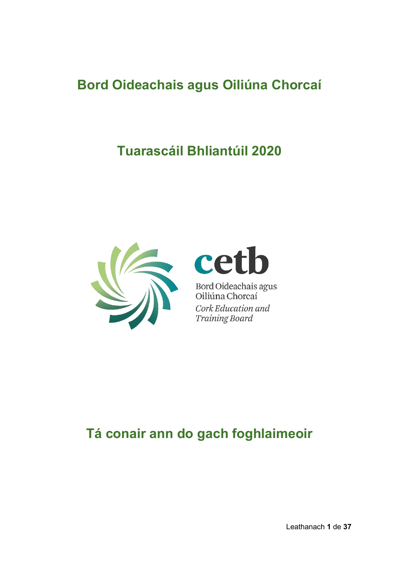# **Bord Oideachais agus Oiliúna Chorcaí**

# **Tuarascáil Bhliantúil 2020**





Bord Oideachais agus<br>Oiliúna Chorcaí Cork Education and **Training Board** 

# **Tá conair ann do gach foghlaimeoir**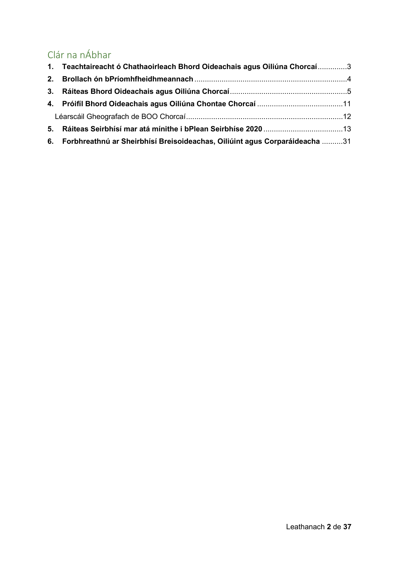## Clár na nÁbhar

|    | 1. Teachtaireacht ó Chathaoirleach Bhord Oideachais agus Oiliúna Chorcaí3     |  |
|----|-------------------------------------------------------------------------------|--|
|    |                                                                               |  |
|    |                                                                               |  |
|    |                                                                               |  |
|    |                                                                               |  |
| 5. |                                                                               |  |
|    | 6. Forbhreathnú ar Sheirbhísí Breisoideachas, Oiliúint agus Corparáideacha 31 |  |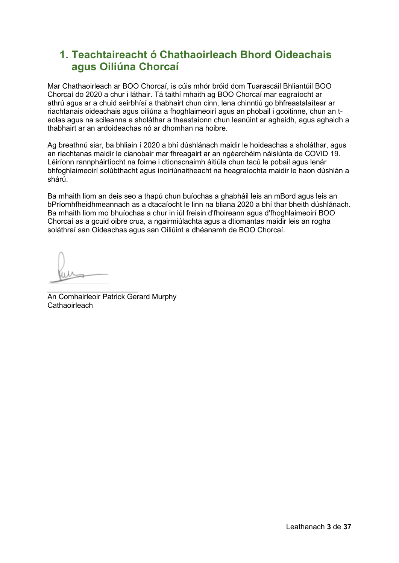## <span id="page-2-0"></span>**1. Teachtaireacht ó Chathaoirleach Bhord Oideachais agus Oiliúna Chorcaí**

Mar Chathaoirleach ar BOO Chorcaí, is cúis mhór bróid dom Tuarascáil Bhliantúil BOO Chorcaí do 2020 a chur i láthair. Tá taithí mhaith ag BOO Chorcaí mar eagraíocht ar athrú agus ar a chuid seirbhísí a thabhairt chun cinn, lena chinntiú go bhfreastalaítear ar riachtanais oideachais agus oiliúna a fhoghlaimeoirí agus an phobail i gcoitinne, chun an teolas agus na scileanna a sholáthar a theastaíonn chun leanúint ar aghaidh, agus aghaidh a thabhairt ar an ardoideachas nó ar dhomhan na hoibre.

Ag breathnú siar, ba bhliain í 2020 a bhí dúshlánach maidir le hoideachas a sholáthar, agus an riachtanas maidir le cianobair mar fhreagairt ar an ngéarchéim náisiúnta de COVID 19. Léiríonn rannpháirtíocht na foirne i dtionscnaimh áitiúla chun tacú le pobail agus lenár bhfoghlaimeoirí solúbthacht agus inoiriúnaitheacht na heagraíochta maidir le haon dúshlán a shárú.

Ba mhaith liom an deis seo a thapú chun buíochas a ghabháil leis an mBord agus leis an bPríomhfheidhmeannach as a dtacaíocht le linn na bliana 2020 a bhí thar bheith dúshlánach. Ba mhaith liom mo bhuíochas a chur in iúl freisin d'fhoireann agus d'fhoghlaimeoirí BOO Chorcaí as a gcuid oibre crua, a ngairmiúlachta agus a dtiomantas maidir leis an rogha soláthraí san Oideachas agus san Oiliúint a dhéanamh de BOO Chorcaí.

 $\frac{1}{2}$  , and the set of the set of the set of the set of the set of the set of the set of the set of the set of the set of the set of the set of the set of the set of the set of the set of the set of the set of the set An Comhairleoir Patrick Gerard Murphy Cathaoirleach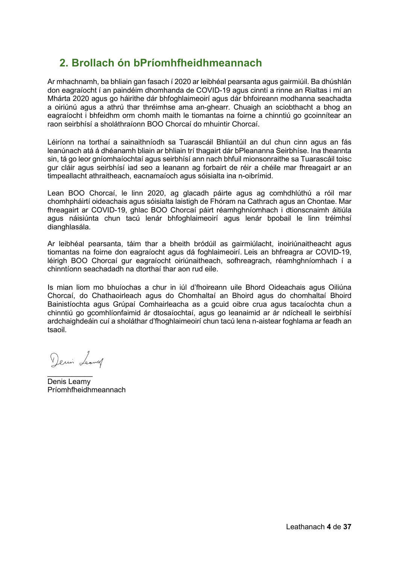## <span id="page-3-0"></span>**2. Brollach ón bPríomhfheidhmeannach**

Ar mhachnamh, ba bhliain gan fasach í 2020 ar leibhéal pearsanta agus gairmiúil. Ba dhúshlán don eagraíocht í an paindéim dhomhanda de COVID-19 agus cinntí a rinne an Rialtas i mí an Mhárta 2020 agus go háirithe dár bhfoghlaimeoirí agus dár bhfoireann modhanna seachadta a oiriúnú agus a athrú thar thréimhse ama an-ghearr. Chuaigh an sciobthacht a bhog an eagraíocht i bhfeidhm orm chomh maith le tiomantas na foirne a chinntiú go gcoinnítear an raon seirbhísí a sholáthraíonn BOO Chorcaí do mhuintir Chorcaí.

Léiríonn na torthaí a sainaithníodh sa Tuarascáil Bhliantúil an dul chun cinn agus an fás leanúnach atá á dhéanamh bliain ar bhliain trí thagairt dár bPleananna Seirbhíse. Ina theannta sin, tá go leor gníomhaíochtaí agus seirbhísí ann nach bhfuil mionsonraithe sa Tuarascáil toisc gur cláir agus seirbhísí iad seo a leanann ag forbairt de réir a chéile mar fhreagairt ar an timpeallacht athraitheach, eacnamaíoch agus sóisialta ina n-oibrímid.

Lean BOO Chorcaí, le linn 2020, ag glacadh páirte agus ag comhdhlúthú a róil mar chomhpháirtí oideachais agus sóisialta laistigh de Fhóram na Cathrach agus an Chontae. Mar fhreagairt ar COVID-19, ghlac BOO Chorcaí páirt réamhghníomhach i dtionscnaimh áitiúla agus náisiúnta chun tacú lenár bhfoghlaimeoirí agus lenár bpobail le linn tréimhsí dianghlasála.

Ar leibhéal pearsanta, táim thar a bheith bródúil as gairmiúlacht, inoiriúnaitheacht agus tiomantas na foirne don eagraíocht agus dá foghlaimeoirí. Leis an bhfreagra ar COVID-19, léirigh BOO Chorcaí gur eagraíocht oiriúnaitheach, sofhreagrach, réamhghníomhach í a chinntíonn seachadadh na dtorthaí thar aon rud eile.

Is mian liom mo bhuíochas a chur in iúl d'fhoireann uile Bhord Oideachais agus Oiliúna Chorcaí, do Chathaoirleach agus do Chomhaltaí an Bhoird agus do chomhaltaí Bhoird Bainistíochta agus Grúpaí Comhairleacha as a gcuid oibre crua agus tacaíochta chun a chinntiú go gcomhlíonfaimid ár dtosaíochtaí, agus go leanaimid ar ár ndícheall le seirbhísí ardchaighdeáin cuí a sholáthar d'fhoghlaimeoirí chun tacú lena n-aistear foghlama ar feadh an tsaoil.

Demin Leaving

 $\frac{1}{2}$ Denis Leamy Príomhfheidhmeannach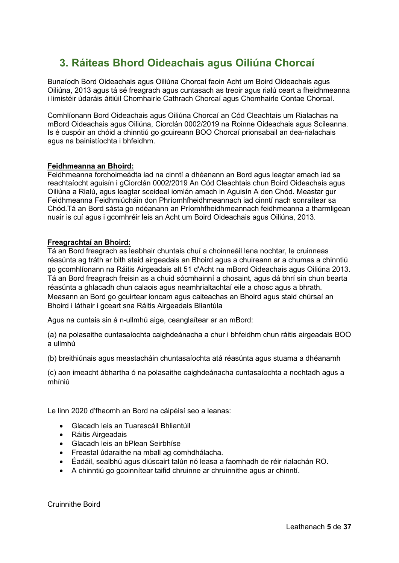## <span id="page-4-0"></span>**3. Ráiteas Bhord Oideachais agus Oiliúna Chorcaí**

Bunaíodh Bord Oideachais agus Oiliúna Chorcaí faoin Acht um Boird Oideachais agus Oiliúna, 2013 agus tá sé freagrach agus cuntasach as treoir agus rialú ceart a fheidhmeanna i limistéir údaráis áitiúil Chomhairle Cathrach Chorcaí agus Chomhairle Contae Chorcaí.

Comhlíonann Bord Oideachais agus Oiliúna Chorcaí an Cód Cleachtais um Rialachas na mBord Oideachais agus Oiliúna, Ciorclán 0002/2019 na Roinne Oideachais agus Scileanna. Is é cuspóir an chóid a chinntiú go gcuireann BOO Chorcaí prionsabail an dea-rialachais agus na bainistíochta i bhfeidhm.

#### **Feidhmeanna an Bhoird:**

Feidhmeanna forchoimeádta iad na cinntí a dhéanann an Bord agus leagtar amach iad sa reachtaíocht aguisín i gCiorclán 0002/2019 An Cód Cleachtais chun Boird Oideachais agus Oiliúna a Rialú, agus leagtar sceideal iomlán amach in Aguisín A den Chód. Meastar gur Feidhmeanna Feidhmiúcháin don Phríomhfheidhmeannach iad cinntí nach sonraítear sa Chód.Tá an Bord sásta go ndéanann an Príomhfheidhmeannach feidhmeanna a tharmligean nuair is cuí agus i gcomhréir leis an Acht um Boird Oideachais agus Oiliúna, 2013.

#### **Freagrachtaí an Bhoird:**

Tá an Bord freagrach as leabhair chuntais chuí a choinneáil lena nochtar, le cruinneas réasúnta ag tráth ar bith staid airgeadais an Bhoird agus a chuireann ar a chumas a chinntiú go gcomhlíonann na Ráitis Airgeadais alt 51 d'Acht na mBord Oideachais agus Oiliúna 2013. Tá an Bord freagrach freisin as a chuid sócmhainní a chosaint, agus dá bhrí sin chun bearta réasúnta a ghlacadh chun calaois agus neamhrialtachtaí eile a chosc agus a bhrath. Measann an Bord go gcuirtear ioncam agus caiteachas an Bhoird agus staid chúrsaí an Bhoird i láthair i gceart sna Ráitis Airgeadais Bliantúla

Agus na cuntais sin á n-ullmhú aige, ceanglaítear ar an mBord:

(a) na polasaithe cuntasaíochta caighdeánacha a chur i bhfeidhm chun ráitis airgeadais BOO a ullmhú

(b) breithiúnais agus meastacháin chuntasaíochta atá réasúnta agus stuama a dhéanamh

(c) aon imeacht ábhartha ó na polasaithe caighdeánacha cuntasaíochta a nochtadh agus a mhíniú

Le linn 2020 d'fhaomh an Bord na cáipéisí seo a leanas:

- Glacadh leis an Tuarascáil Bhliantúil
- Ráitis Airgeadais
- Glacadh leis an bPlean Seirbhíse
- Freastal údaraithe na mball ag comhdhálacha.
- Éadáil, sealbhú agus diúscairt talún nó leasa a faomhadh de réir rialachán RO.
- A chinntiú go gcoinnítear taifid chruinne ar chruinnithe agus ar chinntí.

Cruinnithe Boird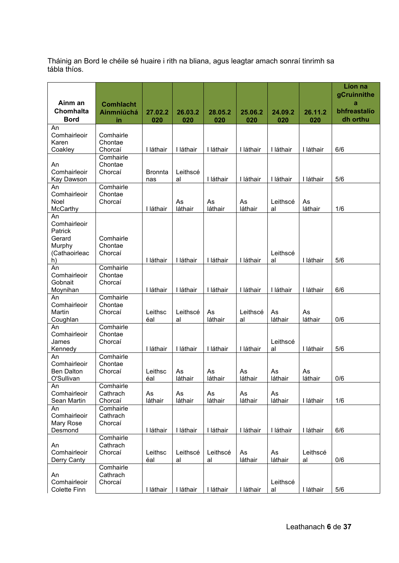Tháinig an Bord le chéile sé huaire i rith na bliana, agus leagtar amach sonraí tinrimh sa tábla thíos.

| Ainm an                                                                  |                                             |                       |                |                |                |                |                | Líon na<br>gCruinnithe        |
|--------------------------------------------------------------------------|---------------------------------------------|-----------------------|----------------|----------------|----------------|----------------|----------------|-------------------------------|
| Chomhalta<br><b>Bord</b>                                                 | <b>Comhlacht</b><br><b>Ainmniúchá</b><br>in | 27.02.2<br>020        | 26.03.2<br>020 | 28.05.2<br>020 | 25.06.2<br>020 | 24.09.2<br>020 | 26.11.2<br>020 | a<br>bhfreastalío<br>dh orthu |
| An<br>Comhairleoir<br>Karen<br>Coakley                                   | Comhairle<br>Chontae<br>Chorcaí             | I láthair             | I láthair      | I láthair      | I láthair      | I láthair      | I láthair      | 6/6                           |
| An<br>Comhairleoir<br>Kay Dawson                                         | Comhairle<br>Chontae<br>Chorcaí             | <b>Bronnta</b><br>nas | Leithscé<br>al | I láthair      | I láthair      | I láthair      | I láthair      | 5/6                           |
| An<br>Comhairleoir<br>Noel<br>McCarthy                                   | Comhairle<br>Chontae<br>Chorcaí             | I láthair             | As<br>láthair  | As<br>láthair  | As<br>láthair  | Leithscé<br>al | As<br>láthair  | 1/6                           |
| An<br>Comhairleoir<br>Patrick<br>Gerard<br>Murphy<br>(Cathaoirleac<br>h) | Comhairle<br>Chontae<br>Chorcaí             | I láthair             | I láthair      | I láthair      | I láthair      | Leithscé<br>al | I láthair      | 5/6                           |
| An<br>Comhairleoir<br>Gobnait<br>Moynihan                                | Comhairle<br>Chontae<br>Chorcaí             | I láthair             | I láthair      | I láthair      | I láthair      | I láthair      | I láthair      | 6/6                           |
| An<br>Comhairleoir<br>Martin<br>Coughlan                                 | Comhairle<br>Chontae<br>Chorcaí             | Leithsc<br>éal        | Leithscé<br>al | As<br>láthair  | Leithscé<br>al | As<br>láthair  | As<br>láthair  | 0/6                           |
| An<br>Comhairleoir<br>James<br>Kennedy                                   | Comhairle<br>Chontae<br>Chorcaí             | I láthair             | I láthair      | I láthair      | I láthair      | Leithscé<br>al | I láthair      | 5/6                           |
| An<br>Comhairleoir<br><b>Ben Dalton</b><br>O'Sullivan                    | Comhairle<br>Chontae<br>Chorcaí             | Leithsc<br>éal        | As<br>láthair  | As<br>láthair  | As<br>láthair  | As<br>láthair  | As<br>láthair  | 0/6                           |
| An<br>Comhairleoir<br>Sean Martin                                        | Comhairle<br>Cathrach<br>Chorcaí            | As<br>láthair         | As<br>láthair  | As<br>láthair  | As<br>láthair  | As<br>láthair  | I láthair      | 1/6                           |
| An<br>Comhairleoir<br>Mary Rose<br>Desmond                               | Comhairle<br>Cathrach<br>Chorcaí            | I láthair             | I láthair      | I láthair      | I láthair      | I láthair      | I láthair      | 6/6                           |
| An<br>Comhairleoir<br>Derry Canty                                        | Comhairle<br>Cathrach<br>Chorcaí            | Leithsc<br>éal        | Leithscé<br>al | Leithscé<br>al | As<br>láthair  | As<br>láthair  | Leithscé<br>al | 0/6                           |
| An<br>Comhairleoir<br>Colette Finn                                       | Comhairle<br>Cathrach<br>Chorcaí            | I láthair             | I láthair      | I láthair      | I láthair      | Leithscé<br>al | I láthair      | 5/6                           |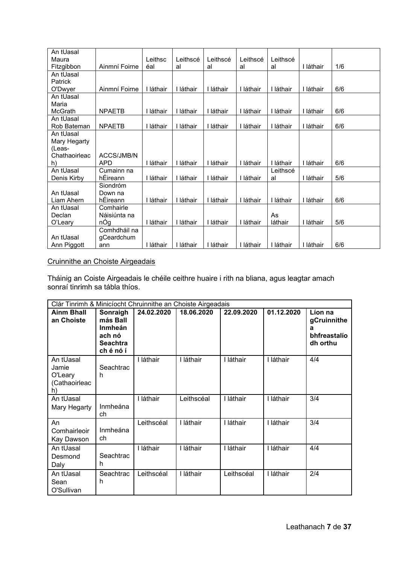| An tUasal      |               |           |           |           |           |           |           |     |
|----------------|---------------|-----------|-----------|-----------|-----------|-----------|-----------|-----|
| Maura          |               | Leithsc   | Leithscé  | Leithscé  | Leithscé  | Leithscé  |           |     |
| Fitzgibbon     | Ainmní Foirne | éal       | al        | al        | al        | al        | I láthair | 1/6 |
| An tUasal      |               |           |           |           |           |           |           |     |
| <b>Patrick</b> |               |           |           |           |           |           |           |     |
| O'Dwyer        | Ainmní Foirne | I láthair | I láthair | láthair   | I láthair | I láthair | I láthair | 6/6 |
| An tUasal      |               |           |           |           |           |           |           |     |
| Maria          |               |           |           |           |           |           |           |     |
| McGrath        | <b>NPAETB</b> | I láthair | I láthair | láthair   | I láthair | I láthair | I láthair | 6/6 |
| An tUasal      |               |           |           |           |           |           |           |     |
| Rob Bateman    | <b>NPAETB</b> | láthair   | I láthair | láthair   | I láthair | I láthair | I láthair | 6/6 |
| An tUasal      |               |           |           |           |           |           |           |     |
| Mary Hegarty   |               |           |           |           |           |           |           |     |
| (Leas-         |               |           |           |           |           |           |           |     |
| Chathaoirleac  | ACCS/JMB/N    |           |           |           |           |           |           |     |
| h)             | <b>APD</b>    | I láthair | I láthair | I láthair | I láthair | I láthair | I láthair | 6/6 |
| An tUasal      | Cumainn na    |           |           |           |           | Leithscé  |           |     |
| Denis Kirby    | hÉireann      | I láthair | I láthair | I láthair | I láthair | al        | I láthair | 5/6 |
|                | Siondróm      |           |           |           |           |           |           |     |
| An tUasal      | Down na       |           |           |           |           |           |           |     |
| Liam Ahern     | hÉireann      | I láthair | I láthair | I láthair | I láthair | I láthair | I láthair | 6/6 |
| An tUasal      | Comhairle     |           |           |           |           |           |           |     |
| Declan         | Náisiúnta na  |           |           |           |           | As        |           |     |
| O'Leary        | nÓg           | I láthair | I láthair | I láthair | I láthair | láthair   | I láthair | 5/6 |
|                | Comhdháil na  |           |           |           |           |           |           |     |
| An tUasal      | gCeardchum    |           |           |           |           |           |           |     |
| Ann Piggott    | ann           | I láthair | I láthair | láthair   | I láthair | I láthair | I láthair | 6/6 |

## Cruinnithe an Choiste Airgeadais

Tháinig an Coiste Airgeadais le chéile ceithre huaire i rith na bliana, agus leagtar amach sonraí tinrimh sa tábla thíos.

| Clár Tinrimh & Minicíocht Chruinnithe an Choiste Airgeadais |                                                                           |            |            |            |            |                                                         |  |
|-------------------------------------------------------------|---------------------------------------------------------------------------|------------|------------|------------|------------|---------------------------------------------------------|--|
| <b>Ainm Bhall</b><br>an Choiste                             | Sonraigh<br>más Ball<br>Inmheán<br>ach nó<br><b>Seachtra</b><br>ch é nó í | 24.02.2020 | 18.06.2020 | 22.09.2020 | 01.12.2020 | Líon na<br>gCruinnithe<br>а<br>bhfreastalío<br>dh orthu |  |
| An tUasal<br>Jamie<br>O'Leary<br>(Cathaoirleac<br>h)        | Seachtrac<br>h                                                            | I láthair  | I láthair  | I láthair  | I láthair  | 4/4                                                     |  |
| An tUasal<br>Mary Hegarty                                   | Inmheána<br>ch                                                            | I láthair  | Leithscéal | I láthair  | I láthair  | 3/4                                                     |  |
| An<br>Comhairleoir<br>Kay Dawson                            | Inmheána<br>ch                                                            | Leithscéal | I láthair  | I láthair  | I láthair  | 3/4                                                     |  |
| An tUasal<br>Desmond<br>Daly                                | Seachtrac<br>h                                                            | láthair    | I láthair  | I láthair  | I láthair  | 4/4                                                     |  |
| An tUasal<br>Sean<br>O'Sullivan                             | Seachtrac<br>h                                                            | Leithscéal | I láthair  | Leithscéal | I láthair  | 2/4                                                     |  |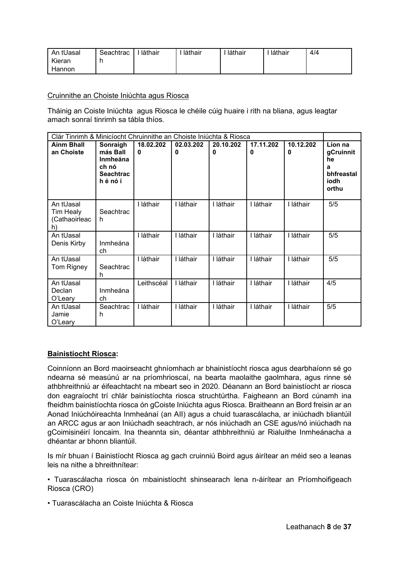| An tUasal | Seachtrac | láthair | láthair | láthair | láthair | 4/4 |
|-----------|-----------|---------|---------|---------|---------|-----|
| Kieran    |           |         |         |         |         |     |
| Hannon    |           |         |         |         |         |     |

#### Cruinnithe an Choiste Iniúchta agus Riosca

Tháinig an Coiste Iniúchta agus Riosca le chéile cúig huaire i rith na bliana, agus leagtar amach sonraí tinrimh sa tábla thíos.

| Clár Tinrimh & Minicíocht Chruinnithe an Choiste Iniúchta & Riosca |                                                                               |                       |                |                |                |                |                                                                |
|--------------------------------------------------------------------|-------------------------------------------------------------------------------|-----------------------|----------------|----------------|----------------|----------------|----------------------------------------------------------------|
| <b>Ainm Bhall</b><br>an Choiste                                    | Sonraigh<br>más Ball<br><b>Inmheána</b><br>ch nó<br><b>Seachtrac</b><br>hénóí | 18.02.202<br>$\bf{0}$ | 02.03.202<br>O | 20.10.202<br>0 | 17.11.202<br>0 | 10.12.202<br>0 | Líon na<br>gCruinnit<br>he<br>a<br>bhfreastal<br>íodh<br>orthu |
| An tUasal<br>Tim Healy<br>(Cathaoirleac<br>h)                      | Seachtrac<br>h.                                                               | I láthair             | I láthair      | I láthair      | I láthair      | I láthair      | 5/5                                                            |
| An tUasal<br>Denis Kirby                                           | Inmheána<br>ch                                                                | I láthair             | I láthair      | I láthair      | I láthair      | I láthair      | 5/5                                                            |
| An tUasal<br>Tom Rigney                                            | Seachtrac<br>h                                                                | I láthair             | I láthair      | I láthair      | I láthair      | I láthair      | 5/5                                                            |
| An tUasal<br>Declan<br>O'Leary                                     | Inmheána<br>ch                                                                | Leithscéal            | I láthair      | I láthair      | I láthair      | I láthair      | 4/5                                                            |
| An tUasal<br>Jamie<br>O'Leary                                      | Seachtrac<br>h                                                                | I láthair             | I láthair      | I láthair      | I láthair      | I láthair      | 5/5                                                            |

#### **Bainistíocht Riosca:**

Coinníonn an Bord maoirseacht ghníomhach ar bhainistíocht riosca agus dearbhaíonn sé go ndearna sé measúnú ar na príomhrioscaí, na bearta maolaithe gaolmhara, agus rinne sé athbhreithniú ar éifeachtacht na mbeart seo in 2020. Déanann an Bord bainistíocht ar riosca don eagraíocht trí chlár bainistíochta riosca struchtúrtha. Faigheann an Bord cúnamh ina fheidhm bainistíochta riosca ón gCoiste Iniúchta agus Riosca. Braitheann an Bord freisin ar an Aonad Iniúchóireachta Inmheánaí (an AII) agus a chuid tuarascálacha, ar iniúchadh bliantúil an ARCC agus ar aon Iniúchadh seachtrach, ar nós iniúchadh an CSE agus/nó iniúchadh na gCoimisinéirí Ioncaim. Ina theannta sin, déantar athbhreithniú ar Rialuithe Inmheánacha a dhéantar ar bhonn bliantúil.

Is mír bhuan í Bainistíocht Riosca ag gach cruinniú Boird agus áirítear an méid seo a leanas leis na nithe a bhreithnítear:

• Tuarascálacha riosca ón mbainistíocht shinsearach lena n-áirítear an Príomhoifigeach Riosca (CRO)

• Tuarascálacha an Coiste Iniúchta & Riosca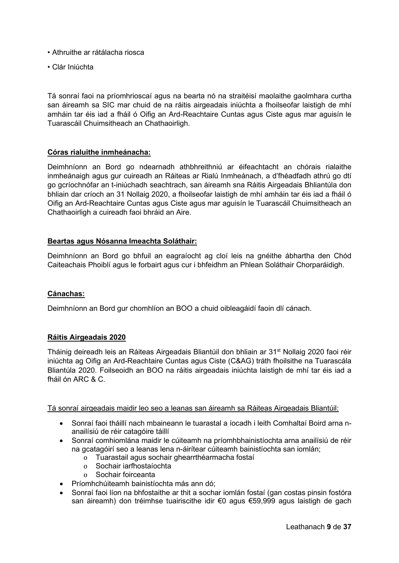- Athruithe ar rátálacha riosca
- Clár Iniúchta

Tá sonraí faoi na príomhrioscaí agus na bearta nó na straitéisí maolaithe gaolmhara curtha san áireamh sa SIC mar chuid de na ráitis airgeadais iniúchta a fhoilseofar laistigh de mhí amháin tar éis iad a fháil ó Oifig an Ard-Reachtaire Cuntas agus Ciste agus mar aguisín le Tuarascáil Chuimsitheach an Chathaoirligh.

#### **Córas rialuithe inmheánacha:**

Deimhníonn an Bord go ndearnadh athbhreithniú ar éifeachtacht an chórais rialaithe inmheánaigh agus gur cuireadh an Ráiteas ar Rialú Inmheánach, a d'fhéadfadh athrú go dtí go gcríochnófar an t-iniúchadh seachtrach, san áireamh sna Ráitis Airgeadais Bhliantúla don bhliain dar críoch an 31 Nollaig 2020, a fhoilseofar laistigh de mhí amháin tar éis iad a fháil ó Oifig an Ard-Reachtaire Cuntas agus Ciste agus mar aguisín le Tuarascáil Chuimsitheach an Chathaoirligh a cuireadh faoi bhráid an Aire.

#### **Beartas agus Nósanna Imeachta Soláthair:**

Deimhníonn an Bord go bhfuil an eagraíocht ag cloí leis na gnéithe ábhartha den Chód Caiteachais Phoiblí agus le forbairt agus cur i bhfeidhm an Phlean Soláthair Chorparáidigh.

#### **Cánachas:**

Deimhníonn an Bord gur chomhlíon an BOO a chuid oibleagáidí faoin dlí cánach.

#### **Ráitis Airgeadais 2020**

Tháinig deireadh leis an Ráiteas Airgeadais Bliantúil don bhliain ar 31<sup>st</sup> Nollaig 2020 faoi réir iniúchta ag Oifig an Ard-Reachtaire Cuntas agus Ciste (C&AG) tráth fhoilsithe na Tuarascála Bliantúla 2020. Foilseoidh an BOO na ráitis airgeadais iniúchta laistigh de mhí tar éis iad a fháil ón ARC & C.

#### Tá sonraí airgeadais maidir leo seo a leanas san áireamh sa Ráiteas Airgeadais Bliantúil:

- Sonraí faoi tháillí nach mbaineann le tuarastal a íocadh i leith Comhaltaí Boird arna nanailísiú de réir catagóire táillí
- Sonraí comhiomlána maidir le cúiteamh na príomhbhainistíochta arna anailísiú de réir na gcatagóirí seo a leanas lena n-áirítear cúiteamh bainistíochta san iomlán;
	- o Tuarastail agus sochair ghearrthéarmacha fostaí<br>o Sochair iarfhostaíochta
	- o Sochair iarfhostaíochta<br>o Sochair foirceanta
	- Sochair foirceanta
- Príomhchúiteamh bainistíochta más ann dó;
- Sonraí faoi líon na bhfostaithe ar thit a sochar iomlán fostaí (gan costas pinsin fostóra san áireamh) don tréimhse tuairiscithe idir €0 agus €59,999 agus laistigh de gach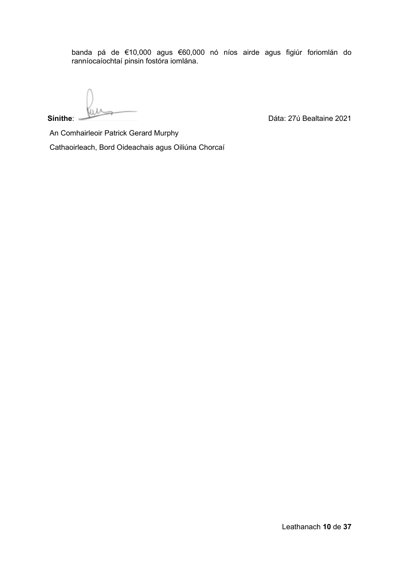banda pá de €10,000 agus €60,000 nó níos airde agus figiúr foriomlán do ranníocaíochtaí pinsin fostóra iomlána.

**Sínithe:** Dáta: 27ú Bealtaine 2021

An Comhairleoir Patrick Gerard Murphy

Cathaoirleach, Bord Oideachais agus Oiliúna Chorcaí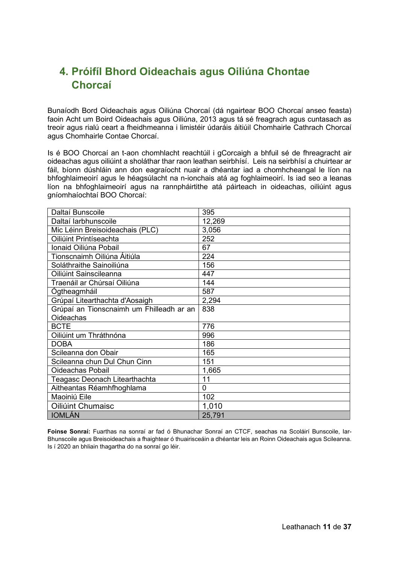## <span id="page-10-0"></span>**4. Próifíl Bhord Oideachais agus Oiliúna Chontae Chorcaí**

Bunaíodh Bord Oideachais agus Oiliúna Chorcaí (dá ngairtear BOO Chorcaí anseo feasta) faoin Acht um Boird Oideachais agus Oiliúna, 2013 agus tá sé freagrach agus cuntasach as treoir agus rialú ceart a fheidhmeanna i limistéir údaráis áitiúil Chomhairle Cathrach Chorcaí agus Chomhairle Contae Chorcaí.

Is é BOO Chorcaí an t-aon chomhlacht reachtúil i gCorcaigh a bhfuil sé de fhreagracht air oideachas agus oiliúint a sholáthar thar raon leathan seirbhísí. Leis na seirbhísí a chuirtear ar fáil, bíonn dúshláin ann don eagraíocht nuair a dhéantar iad a chomhcheangal le líon na bhfoghlaimeoirí agus le héagsúlacht na n-ionchais atá ag foghlaimeoirí. Is iad seo a leanas líon na bhfoghlaimeoirí agus na rannpháirtithe atá páirteach in oideachas, oiliúint agus gníomhaíochtaí BOO Chorcaí:

| Daltaí Bunscoile                         | 395    |
|------------------------------------------|--------|
| Daltaí larbhunscoile                     | 12,269 |
| Mic Léinn Breisoideachais (PLC)          | 3,056  |
| Oiliúint Printíseachta                   | 252    |
| Ionaid Oiliúna Pobail                    | 67     |
| Tionscnaimh Oiliúna Áitiúla              | 224    |
| Soláthraithe Sainoiliúna                 | 156    |
| Oiliúint Sainscileanna                   | 447    |
| Traenáil ar Chúrsaí Oiliúna              | 144    |
| Ogtheagmháil                             | 587    |
| Grúpaí Litearthachta d'Aosaigh           | 2,294  |
| Grúpaí an Tionscnaimh um Fhilleadh ar an | 838    |
| Oideachas                                |        |
| <b>BCTE</b>                              | 776    |
| Oiliúint um Thráthnóna                   | 996    |
| <b>DOBA</b>                              | 186    |
| Scileanna don Obair                      | 165    |
| Scileanna chun Dul Chun Cinn             | 151    |
| <b>Oideachas Pobail</b>                  | 1,665  |
| Teagasc Deonach Litearthachta            | 11     |
| Aitheantas Réamhfhoghlama                | 0      |
| Maoiniú Eile                             | 102    |
| Oiliúint Chumaisc                        | 1,010  |
| <b>IOMLÁN</b>                            | 25,791 |

**Foinse Sonraí:** Fuarthas na sonraí ar fad ó Bhunachar Sonraí an CTCF, seachas na Scoláirí Bunscoile, Iar-Bhunscoile agus Breisoideachais a fhaightear ó thuairisceáin a dhéantar leis an Roinn Oideachais agus Scileanna. Is í 2020 an bhliain thagartha do na sonraí go léir.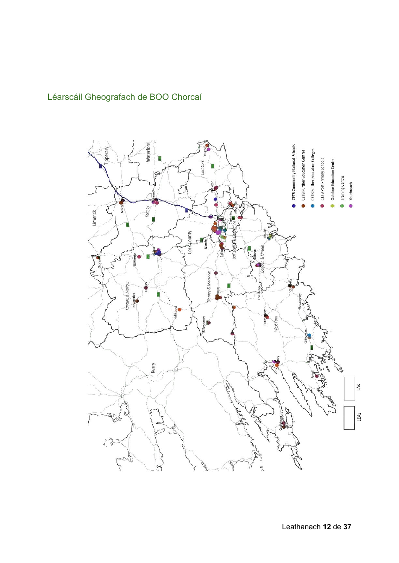## <span id="page-11-0"></span>Léarscáil Gheografach de BOO Chorcaí

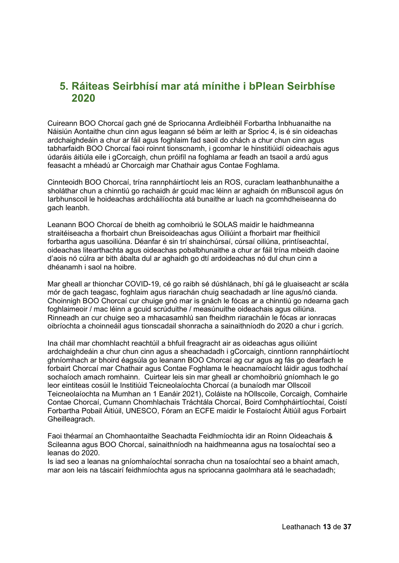## <span id="page-12-0"></span>**5. Ráiteas Seirbhísí mar atá mínithe i bPlean Seirbhíse 2020**

Cuireann BOO Chorcaí gach gné de Spriocanna Ardleibhéil Forbartha Inbhuanaithe na Náisiún Aontaithe chun cinn agus leagann sé béim ar leith ar Sprioc 4, is é sin oideachas ardchaighdeáin a chur ar fáil agus foghlaim fad saoil do chách a chur chun cinn agus tabharfaidh BOO Chorcaí faoi roinnt tionscnamh, i gcomhar le hinstitiúidí oideachais agus údaráis áitiúla eile i gCorcaigh, chun próifíl na foghlama ar feadh an tsaoil a ardú agus feasacht a mhéadú ar Chorcaigh mar Chathair agus Contae Foghlama.

Cinnteoidh BOO Chorcaí, trína rannpháirtíocht leis an ROS, curaclam leathanbhunaithe a sholáthar chun a chinntiú go rachaidh ár gcuid mac léinn ar aghaidh ón mBunscoil agus ón Iarbhunscoil le hoideachas ardcháilíochta atá bunaithe ar luach na gcomhdheiseanna do gach leanbh.

Leanann BOO Chorcaí de bheith ag comhoibriú le SOLAS maidir le haidhmeanna straitéiseacha a fhorbairt chun Breisoideachas agus Oiliúint a fhorbairt mar fheithicil forbartha agus uasoiliúna. Déanfar é sin trí shainchúrsaí, cúrsaí oiliúna, printíseachtaí, oideachas litearthachta agus oideachas pobalbhunaithe a chur ar fáil trína mbeidh daoine d'aois nó cúlra ar bith ábalta dul ar aghaidh go dtí ardoideachas nó dul chun cinn a dhéanamh i saol na hoibre.

Mar gheall ar thionchar COVID-19, cé go raibh sé dúshlánach, bhí gá le gluaiseacht ar scála mór de gach teagasc, foghlaim agus riarachán chuig seachadadh ar líne agus/nó cianda. Choinnigh BOO Chorcaí cur chuige gnó mar is gnách le fócas ar a chinntiú go ndearna gach foghlaimeoir / mac léinn a gcuid scrúduithe / measúnuithe oideachais agus oiliúna. Rinneadh an cur chuige seo a mhacasamhlú san fheidhm riaracháin le fócas ar ionracas oibríochta a choinneáil agus tionscadail shonracha a sainaithníodh do 2020 a chur i gcrích.

Ina cháil mar chomhlacht reachtúil a bhfuil freagracht air as oideachas agus oiliúint ardchaighdeáin a chur chun cinn agus a sheachadadh i gCorcaigh, cinntíonn rannpháirtíocht ghníomhach ar bhoird éagsúla go leanann BOO Chorcaí ag cur agus ag fás go dearfach le forbairt Chorcaí mar Chathair agus Contae Foghlama le heacnamaíocht láidir agus todhchaí sochaíoch amach romhainn. Cuirtear leis sin mar gheall ar chomhoibriú gníomhach le go leor eintiteas cosúil le Institiúid Teicneolaíochta Chorcaí (a bunaíodh mar Ollscoil Teicneolaíochta na Mumhan an 1 Eanáir 2021), Coláiste na hOllscoile, Corcaigh, Comhairle Contae Chorcaí, Cumann Chomhlachais Tráchtála Chorcaí, Boird Comhpháirtíochtaí, Coistí Forbartha Pobail Áitiúil, UNESCO, Fóram an ECFE maidir le Fostaíocht Áitiúil agus Forbairt Gheilleagrach.

Faoi théarmaí an Chomhaontaithe Seachadta Feidhmíochta idir an Roinn Oideachais & Scileanna agus BOO Chorcaí, sainaithníodh na haidhmeanna agus na tosaíochtaí seo a leanas do 2020.

Is iad seo a leanas na gníomhaíochtaí sonracha chun na tosaíochtaí seo a bhaint amach, mar aon leis na táscairí feidhmíochta agus na spriocanna gaolmhara atá le seachadadh;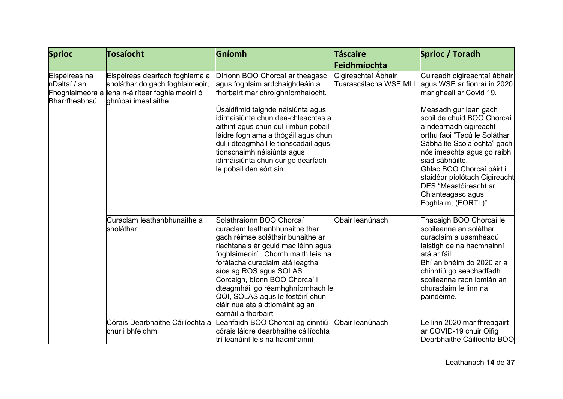| <b>Sprioc</b>                                                     | Tosaíocht                                                                                                                   | Gníomh                                                                                                                                                                                                                                                                                                                                                                                                       | <b>Táscaire</b>                              | Sprioc / Toradh                                                                                                                                                                                                                                                                                                                                                                                                                   |
|-------------------------------------------------------------------|-----------------------------------------------------------------------------------------------------------------------------|--------------------------------------------------------------------------------------------------------------------------------------------------------------------------------------------------------------------------------------------------------------------------------------------------------------------------------------------------------------------------------------------------------------|----------------------------------------------|-----------------------------------------------------------------------------------------------------------------------------------------------------------------------------------------------------------------------------------------------------------------------------------------------------------------------------------------------------------------------------------------------------------------------------------|
|                                                                   |                                                                                                                             |                                                                                                                                                                                                                                                                                                                                                                                                              | Feidhmíochta                                 |                                                                                                                                                                                                                                                                                                                                                                                                                                   |
| Eispéireas na<br>nDaltaí / an<br>Fhoghlaimeora a<br>Bharrfheabhsú | Eispéireas dearfach foghlama a<br>sholáthar do gach foghlaimeoir,<br>lena n-áirítear foghlaimeoirí ó<br>ghrúpaí imeallaithe | Díríonn BOO Chorcaí ar theagasc<br>agus foghlaim ardchaighdeáin a<br>fhorbairt mar chroighníomhaíocht.<br>Úsáidfimid taighde náisiúnta agus<br>idirnáisiúnta chun dea-chleachtas a<br>aithint agus chun dul i mbun pobail<br>láidre foghlama a thógáil agus chun<br>dul i dteagmháil le tionscadail agus<br>tionscnaimh náisiúnta agus<br>idirnáisiúnta chun cur go dearfach<br>le pobail den sórt sin.      | Cigireachtaí Ábhair<br>Tuarascálacha WSE MLL | Cuireadh cigireachtaí ábhair<br>agus WSE ar fionraí in 2020<br>mar gheall ar Covid 19.<br>Measadh gur lean gach<br>scoil de chuid BOO Chorcaí<br>a ndearnadh cigireacht<br>orthu faoi "Tacú le Soláthar<br>Sábháilte Scolaíochta" gach<br>nós imeachta agus go raibh<br>siad sábháilte.<br>Ghlac BOO Chorcaí páirt i<br>staidéar píolótach Cigireacht<br><b>DES</b> "Meastóireacht ar<br>Chianteagasc agus<br>Foghlaim, (EORTL)". |
|                                                                   | Curaclam leathanbhunaithe a<br>sholáthar                                                                                    | Soláthraíonn BOO Chorcaí<br>curaclam leathanbhunaithe thar<br>gach réimse soláthair bunaithe ar<br>riachtanais ár gcuid mac léinn agus<br>foghlaimeoirí. Chomh maith leis na<br>forálacha curaclaim atá leagtha<br>síos ag ROS agus SOLAS<br>Corcaigh, bíonn BOO Chorcaí i<br>dteagmháil go réamhghníomhach le<br>QQI, SOLAS agus le fostóirí chun<br>cláir nua atá á dtiomáint ag an<br>earnáil a fhorbairt | Obair leanúnach                              | Thacaigh BOO Chorcaí le<br>scoileanna an soláthar<br>curaclaim a uasmhéadú<br>laistigh de na hacmhainní<br>atá ar fáil.<br>Bhí an bhéim do 2020 ar a<br>chinntiú go seachadfadh<br>scoileanna raon iomlán an<br>churaclaim le linn na<br>paindéime.                                                                                                                                                                               |
|                                                                   | Córais Dearbhaithe Cáilíochta a<br>chur i bhfeidhm                                                                          | eanfaidh BOO Chorcaí ag cinntiú<br>córais láidre dearbhaithe cáilíochta<br>trí leanúint leis na hacmhainní                                                                                                                                                                                                                                                                                                   | Obair leanúnach                              | e linn 2020 mar fhreagairt<br>ar COVID-19 chuir Oifig<br>Dearbhaithe Cáilíochta BOO                                                                                                                                                                                                                                                                                                                                               |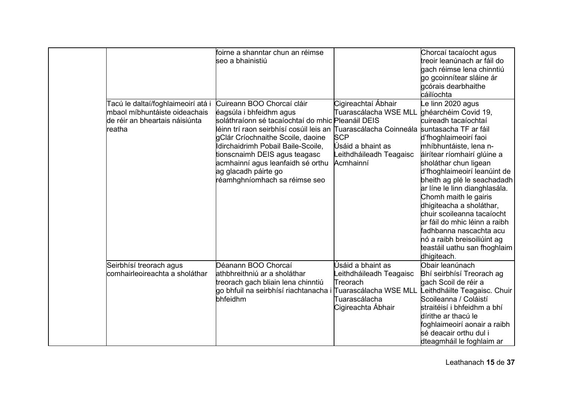|        |                                                                                                       | foirne a shanntar chun an réimse<br>seo a bhainistiú                                                                                                                                                                                                                                                                                                                                                          |                                                                                                                         | Chorcaí tacaíocht agus<br>treoir leanúnach ar fáil do<br>gach réimse lena chinntiú<br>go gcoinnítear sláine ár<br>gcórais dearbhaithe<br>cáilíochta                                                                                                                                                                                                                                                                                                                                                      |
|--------|-------------------------------------------------------------------------------------------------------|---------------------------------------------------------------------------------------------------------------------------------------------------------------------------------------------------------------------------------------------------------------------------------------------------------------------------------------------------------------------------------------------------------------|-------------------------------------------------------------------------------------------------------------------------|----------------------------------------------------------------------------------------------------------------------------------------------------------------------------------------------------------------------------------------------------------------------------------------------------------------------------------------------------------------------------------------------------------------------------------------------------------------------------------------------------------|
| reatha | Tacú le daltaí/foghlaimeoirí atá i<br>mbaol míbhuntáiste oideachais<br>de réir an bheartais náisiúnta | Cuireann BOO Chorcaí cláir<br>éagsúla i bhfeidhm agus<br>soláthraíonn sé tacaíochtaí do mhic Pleanáil DEIS<br>léinn trí raon seirbhísí cosúil leis an ∏uarascálacha Coinneála ∫suntasacha TF ar fáil<br>gClár Críochnaithe Scoile, daoine<br>dirchaidrimh Pobail Baile-Scoile,<br>tionscnaimh DEIS agus teagasc<br>acmhainní agus leanfaidh sé orthu<br>ag glacadh páirte go<br>réamhghníomhach sa réimse seo | Cigireachtaí Ábhair<br>Tuarascálacha WSE MLL<br><b>SCP</b><br>Úsáid a bhaint as<br>eithdháileadh Teagaisc<br>Acmhainní  | e linn 2020 agus<br>ghéarchéim Covid 19,<br>cuireadh tacaíochtaí<br>d'fhoghlaimeoirí faoi<br>mhíbhuntáiste, lena n-<br>áirítear ríomhairí glúine a<br>sholáthar chun ligean<br>d'fhoghlaimeoirí leanúint de<br>bheith ag plé le seachadadh<br>ar líne le linn dianghlasála.<br>Chomh maith le gairis<br>dhigiteacha a sholáthar,<br>chuir scoileanna tacaíocht<br>ar fáil do mhic léinn a raibh<br>fadhbanna nascachta acu<br>nó a raibh breisoiliúint ag<br>teastáil uathu san fhoghlaim<br>dhigiteach. |
|        | Seirbhísí treorach agus<br>comhairleoireachta a sholáthar                                             | Déanann BOO Chorcaí<br>athbhreithniú ar a sholáthar<br>treorach gach bliain lena chinntiú<br>go bhfuil na seirbhísí riachtanacha i<br>bhfeidhm                                                                                                                                                                                                                                                                | Úsáid a bhaint as<br>eithdháileadh Teagaisc<br>Treorach<br>Tuarascálacha WSE MLL<br>Tuarascálacha<br>Cigireachta Ábhair | Obair leanúnach<br>Bhí seirbhísí Treorach ag<br>gach Scoil de réir a<br>Leithdháilte Teagaisc. Chuir<br>Scoileanna / Coláistí<br>straitéisí i bhfeidhm a bhí<br>dírithe ar thacú le<br>foghlaimeoirí aonair a raibh<br>sé deacair orthu dul i<br>dteagmháil le foghlaim ar                                                                                                                                                                                                                               |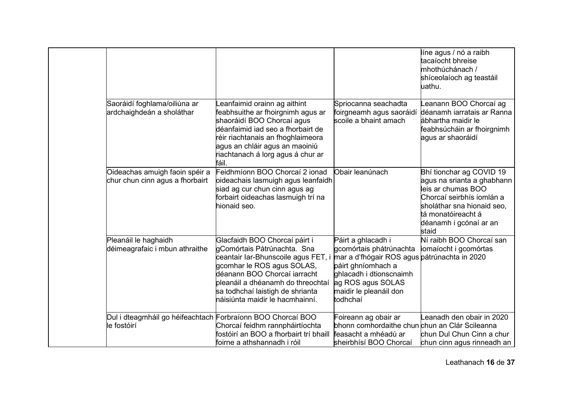|                                                                            |                                                                                                                                                                                                                                                                               |                                                                                                                                                                                                           | líne agus / nó a raibh<br>tacaíocht bhreise<br>mhothúchánach /<br>shíceolaíoch ag teastáil<br>uathu.                                                                                             |
|----------------------------------------------------------------------------|-------------------------------------------------------------------------------------------------------------------------------------------------------------------------------------------------------------------------------------------------------------------------------|-----------------------------------------------------------------------------------------------------------------------------------------------------------------------------------------------------------|--------------------------------------------------------------------------------------------------------------------------------------------------------------------------------------------------|
| Saoráidí foghlama/oiliúna ar<br>ardchaighdeán a sholáthar                  | eanfaimid orainn ag aithint.<br>feabhsuithe ar fhoirgnimh agus ar<br>shaoráidí BOO Chorcaí agus<br>déanfaimid iad seo a fhorbairt de<br>réir riachtanais an fhoghlaimeora<br>agus an chláir agus an maoiniú<br>riachtanach á lorg agus á chur ar<br>fáil.                     | Spriocanna seachadta<br>foirgneamh agus saoráidí<br>scoile a bhaint amach                                                                                                                                 | eanann BOO Chorcaí ag<br>déanamh iarratais ar Ranna<br>ábhartha maidir le<br>feabhsúcháin ar fhoirgnimh<br>agus ar shaoráidí                                                                     |
| Oideachas amuigh faoin spéir a<br>chur chun cinn agus a fhorbairt          | Feidhmíonn BOO Chorcaí 2 ionad<br>oideachais lasmuigh agus leanfaidh<br>siad ag cur chun cinn agus ag<br>forbairt oideachas lasmuigh trí na<br>hionaid seo.                                                                                                                   | Obair leanúnach                                                                                                                                                                                           | Bhí tionchar ag COVID 19<br>agus na srianta a ghabhann<br>leis ar chumas BOO<br>Chorcaí seirbhís iomlán a<br>sholáthar sna hionaid seo,<br>tá monatóireacht á<br>déanamh i gcónaí ar an<br>staid |
| Pleanáil le haghaidh<br>déimeagrafaic i mbun athraithe                     | Glacfaidh BOO Chorcaí páirt i<br>gComórtais Pátrúnachta. Sna<br>ceantair Iar-Bhunscoile agus FET, i<br>gcomhar le ROS agus SOLAS,<br>déanann BOO Chorcaí iarracht<br>pleanáil a dhéanamh do threochtaí<br>sa todhchaí laistigh de shrianta<br>náisiúnta maidir le hacmhainní. | Páirt a ghlacadh i<br>gcomórtais phátrúnachta<br>mar a d'fhógair ROS agus pátrúnachta in 2020<br>páirt ghníomhach a<br>ghlacadh i dtionscnaimh<br>ag ROS agus SOLAS<br>maidir le pleanáil don<br>todhchaí | Ní raibh BOO Chorcaí san<br>iomaíocht i gcomórtas                                                                                                                                                |
| Dul i dteagmháil go héifeachtach Forbraíonn BOO Chorcaí BOO<br>le fostóirí | Chorcaí feidhm rannpháirtíochta<br>fostóirí an BOO a fhorbairt trí bhaill<br>foirne a athshannadh i róil                                                                                                                                                                      | Foireann ag obair ar<br>bhonn comhordaithe chun chun an Clár Scileanna<br>feasacht a mhéadú ar<br>sheirbhísí BOO Chorcaí                                                                                  | eanadh den obair in 2020<br>chun Dul Chun Cinn a chur<br>chun cinn agus rinneadh an                                                                                                              |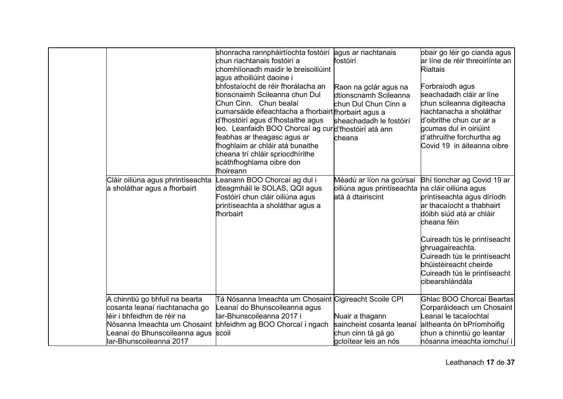|                                                                                                                                                                                             | shonracha rannpháirtíochta fostóirí agus ar riachtanais<br>chun riachtanais fostóirí a<br>chomhlíonadh maidir le breisoiliúint<br>agus athoiliúint daoine i<br>bhfostaíocht de réir fhorálacha an<br>tionscnaimh Scileanna chun Dul<br>Chun Cinn. Chun bealaí<br>cumarsáide éifeachtacha a fhorbairt∦horbairt agus a<br>d'fhostóirí agus d'fhostaithe agus<br>leo. Leanfaidh BOO Chorcaí ag cur∣d'fhostóirí atá ann<br>feabhas ar theagasc agus ar<br>fhoghlaim ar chláir atá bunaithe<br>cheana trí chláir spriocdhírithe<br>scáthfhoghlama oibre don<br>fhoireann | fostóirí<br>Raon na gclár agus na<br>dtionscnamh Scileanna<br>chun Dul Chun Cinn a<br>sheachadadh le fostóirí<br>cheana | obair go léir go cianda agus<br>ar líne de réir threoirlínte an<br><b>Rialtais</b><br>Forbraíodh agus<br>seachadadh cláir ar líne<br>chun scileanna digiteacha<br>riachtanacha a sholáthar<br>d'oibrithe chun cur ar a<br>gcumas dul in oiriúint<br>d'athruithe forchurtha ag<br>Covid 19 in áiteanna oibre |
|---------------------------------------------------------------------------------------------------------------------------------------------------------------------------------------------|---------------------------------------------------------------------------------------------------------------------------------------------------------------------------------------------------------------------------------------------------------------------------------------------------------------------------------------------------------------------------------------------------------------------------------------------------------------------------------------------------------------------------------------------------------------------|-------------------------------------------------------------------------------------------------------------------------|-------------------------------------------------------------------------------------------------------------------------------------------------------------------------------------------------------------------------------------------------------------------------------------------------------------|
| Cláir oiliúna agus phrintíseachta<br>a sholáthar agus a fhorbairt                                                                                                                           | Leanann BOO Chorcaí ag dul i<br>dteagmháil le SOLAS, QQI agus<br>Fostóirí chun cláir oiliúna agus<br>printíseachta a sholáthar agus a<br>fhorbairt                                                                                                                                                                                                                                                                                                                                                                                                                  | Méadú ar líon na gcúrsaí<br>oiliúna agus printíseachta na cláir oiliúna agus<br>atá á dtairiscint                       | Bhí tionchar ag Covid 19 ar<br>printíseachta agus díríodh<br>ar thacaíocht a thabhairt<br>dóibh siúd atá ar chláir<br>cheana féin<br>Cuireadh tús le printíseacht<br>ghruagaireachta.<br>Cuireadh tús le printíseacht<br>bhúistéireacht cheirde<br>Cuireadh tús le printíseacht<br>cibearshlándála          |
| A chinntiú go bhfuil na bearta<br>cosanta leanaí riachtanacha go<br>lléir i bhfeidhm de réir na<br>Nósanna Imeachta um Chosaint<br>Leanaí do Bhunscoileanna agus<br>Iar-Bhunscoileanna 2017 | Tá Nósanna Imeachta um Chosaint Cigireacht Scoile CPI<br>Leanaí do Bhunscoileanna agus<br>lar-Bhunscoileanna 2017 i<br>bhfeidhm ag BOO Chorcaí i ngach<br>scoil                                                                                                                                                                                                                                                                                                                                                                                                     | Nuair a thagann<br>saincheist cosanta leanaí<br>chun cinn tá gá go<br>gcloítear leis an nós                             | Ghlac BOO Chorcaí Beartas<br>Corparáideach um Chosaint<br>Leanaí le tacaíochtaí<br>aitheanta ón bPríomhoifig<br>chun a chinntiú go leantar<br>hósanna imeachta iomchuí i                                                                                                                                    |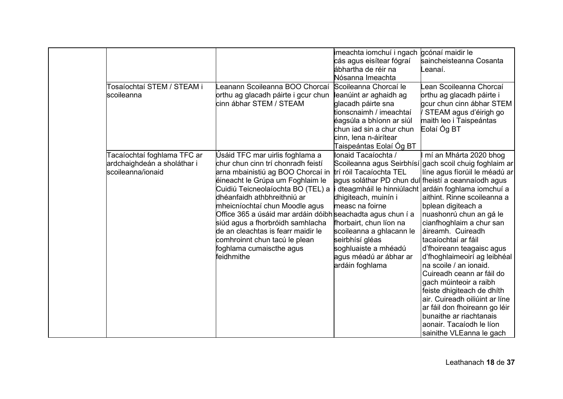|                             |                                                             | imeachta iomchuí i ngach | gcónaí maidir le                                       |
|-----------------------------|-------------------------------------------------------------|--------------------------|--------------------------------------------------------|
|                             |                                                             | cás agus eisítear fógraí | saincheisteanna Cosanta                                |
|                             |                                                             | ábhartha de réir na      | .eanaí.                                                |
|                             |                                                             | Nósanna Imeachta         |                                                        |
| Tosaíochtaí STEM / STEAM i  | eanann Scoileanna BOO Chorcaí                               | Scoileanna Chorcaí le    | ean Scoileanna Chorcaí                                 |
| lscoileanna                 | orthu ag glacadh páirte i gcur chun                         | leanúint ar aghaidh ag   | orthu ag glacadh páirte i                              |
|                             | cinn ábhar STEM / STEAM                                     | glacadh páirte sna       | gcur chun cinn ábhar STEM                              |
|                             |                                                             | tionscnaimh / imeachtaí  | STEAM agus d'éirigh go                                 |
|                             |                                                             | éagsúla a bhíonn ar siúl | maith leo i Taispeántas                                |
|                             |                                                             | chun iad sin a chur chun | Eolaí Óg BT                                            |
|                             |                                                             | cinn, lena n-áirítear    |                                                        |
|                             |                                                             | Taispeántas Eolaí Óg BT  |                                                        |
| Tacaíochtaí foghlama TFC ar | Úsáid TFC mar uirlis foghlama a                             | Ionaid Tacaíochta /      | mí an Mhárta 2020 bhog                                 |
| ardchaighdeán a sholáthar i | chur chun cinn trí chonradh feistí                          |                          | Scoileanna agus Seirbhísí∣gach scoil chuig foghlaim ar |
| scoileanna/ionaid           | arna mbainistiú ag BOO Chorcaí in                           | trí róil Tacaíochta TEL  | líne agus fíorúil le méadú ar                          |
|                             | éineacht le Grúpa um Foghlaim le                            |                          | agus soláthar PD chun dul fheistí a ceannaíodh agus    |
|                             | Cuidiú Teicneolaíochta BO (TEL) a                           |                          | dteagmháil le hinniúlacht ardáin foghlama iomchuí a    |
|                             | dhéanfaidh athbhreithniú ar                                 | dhigiteach, muinín i     | aithint. Rinne scoileanna a                            |
|                             | mheicníochtaí chun Moodle agus                              | measc na foirne          | bplean digiteach a                                     |
|                             | Office 365 a úsáid mar ardáin dóibh seachadta agus chun í a |                          | nuashonrú chun an gá le                                |
|                             | siúd agus a fhorbróidh samhlacha                            | fhorbairt, chun líon na  | cianfhoghlaim a chur san                               |
|                             | de an cleachtas is fearr maidir le                          | scoileanna a ghlacann le | áireamh. Cuireadh                                      |
|                             | comhroinnt chun tacú le plean                               | seirbhísí gléas          | tacaíochtaí ar fáil                                    |
|                             | foghlama cumaiscthe agus                                    | soghluaiste a mhéadú     | d'fhoireann teagaisc agus                              |
|                             | feidhmithe                                                  | agus méadú ar ábhar ar   | d'fhoghlaimeoirí ag leibhéal                           |
|                             |                                                             | ardáin foghlama          | na scoile / an ionaid.                                 |
|                             |                                                             |                          | Cuireadh ceann ar fáil do                              |
|                             |                                                             |                          | gach múinteoir a raibh                                 |
|                             |                                                             |                          | feiste dhigiteach de dhíth                             |
|                             |                                                             |                          | air. Cuireadh oiliúint ar líne                         |
|                             |                                                             |                          | ar fáil don fhoireann go léir                          |
|                             |                                                             |                          | bunaithe ar riachtanais                                |
|                             |                                                             |                          | aonair. Tacaíodh le líon                               |
|                             |                                                             |                          | sainithe VLEanna le gach                               |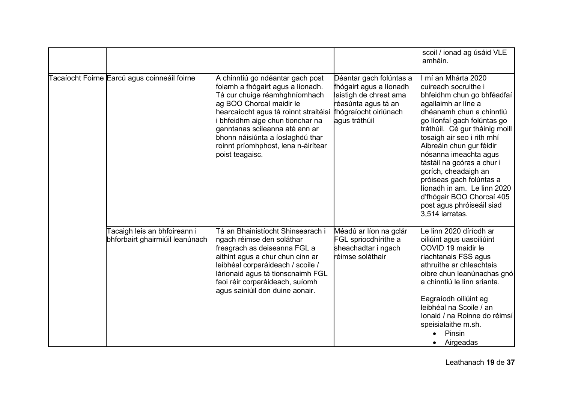|                                                                 |                                                                                                                                                                                                                                                                                                                                               |                                                                                                                                               | scoil / ionad ag úsáid VLE<br>amháin.                                                                                                                                                                                                                                                                                                                                                                                                                                        |
|-----------------------------------------------------------------|-----------------------------------------------------------------------------------------------------------------------------------------------------------------------------------------------------------------------------------------------------------------------------------------------------------------------------------------------|-----------------------------------------------------------------------------------------------------------------------------------------------|------------------------------------------------------------------------------------------------------------------------------------------------------------------------------------------------------------------------------------------------------------------------------------------------------------------------------------------------------------------------------------------------------------------------------------------------------------------------------|
| Tacaíocht Foirne Earcú agus coinneáil foirne                    | A chinntiú go ndéantar gach post<br>folamh a fhógairt agus a líonadh.<br>Tá cur chuige réamhghníomhach<br>ag BOO Chorcaí maidir le<br>hearcaíocht agus tá roinnt straitéisí<br>bhfeidhm aige chun tionchar na<br>ganntanas scileanna atá ann ar<br>bhonn náisiúnta a íoslaghdú thar<br>roinnt príomhphost, lena n-áirítear<br>poist teagaisc. | Déantar gach folúntas a<br>fhógairt agus a líonadh<br>laistigh de chreat ama<br>réasúnta agus tá an<br>fhógraíocht oiriúnach<br>agus tráthúil | mí an Mhárta 2020<br>cuireadh socruithe i<br>bhfeidhm chun go bhféadfaí<br>agallaimh ar líne a<br>dhéanamh chun a chinntiú<br>go líonfaí gach folúntas go<br>tráthúil. Cé gur tháinig moill<br>tosaigh air seo i rith mhí<br>Aibreáin chun gur féidir<br>nósanna imeachta agus<br>tástáil na gcóras a chur i<br>gcrích, cheadaigh an<br>próiseas gach folúntas a<br>líonadh in am. Le linn 2020<br>d'fhógair BOO Chorcaí 405<br>post agus phróiseáil siad<br>3.514 iarratas. |
| Tacaigh leis an bhfoireann i<br>bhforbairt ghairmiúil leanúnach | Tá an Bhainistíocht Shinsearach i<br>ngach réimse den soláthar<br>freagrach as deiseanna FGL a<br>aithint agus a chur chun cinn ar<br>leibhéal corparáideach / scoile /<br>lárionaid agus tá tionscnaimh FGL<br>faoi réir corparáideach, suíomh<br>agus sainiúil don duine aonair.                                                            | Méadú ar líon na gclár<br>FGL spriocdhirithe a<br>sheachadtar i ngach<br>réimse soláthair                                                     | Le linn 2020 díríodh ar<br>oiliúint agus uasoiliúint<br>COVID 19 maidir le<br>riachtanais FSS agus<br>athruithe ar chleachtais<br>oibre chun leanúnachas gnó<br>a chinntiú le linn srianta.<br>Eagraíodh oiliúint ag<br>leibhéal na Scoile / an<br>Ionaid / na Roinne do réimsí<br>speisialaithe m.sh.<br>Pinsin<br>Airgeadas                                                                                                                                                |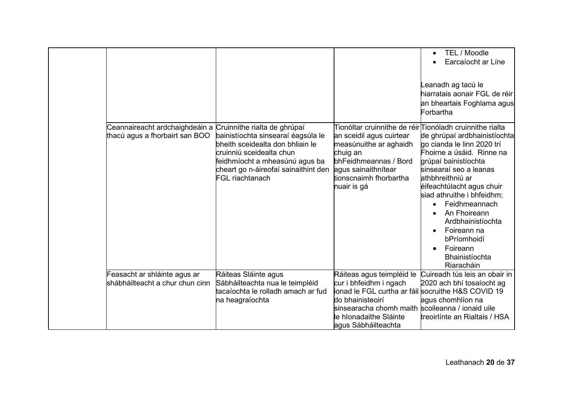|                                 |                                                                        |                                                                            | TEL / Moodle<br>Earcaíocht ar Líne                      |
|---------------------------------|------------------------------------------------------------------------|----------------------------------------------------------------------------|---------------------------------------------------------|
|                                 |                                                                        |                                                                            |                                                         |
|                                 |                                                                        |                                                                            | eanadh ag tacú le                                       |
|                                 |                                                                        |                                                                            | hiarratais aonair FGL de réir                           |
|                                 |                                                                        |                                                                            | an bheartais Foghlama agus                              |
|                                 |                                                                        |                                                                            | Forbartha                                               |
| Ceannaireacht ardchaighdeáin a  | Cruinnithe rialta de ghrúpaí                                           | Tionóltar cruinnithe de réir∏ionóladh cruinnithe rialta                    |                                                         |
| thacú agus a fhorbairt san BOO  | bainistíochta sinsearaí éagsúla le<br>bheith sceidealta don bhliain le | an sceidil agus cuirtear                                                   | de ghrúpaí ardbhainistíochta                            |
|                                 | cruinniú sceidealta chun                                               | measúnuithe ar aghaidh<br>chuig an                                         | go cianda le linn 2020 trí<br>Fhoirne a úsáid. Rinne na |
|                                 | feidhmíocht a mheasúnú agus ba                                         | bhFeidhmeannas / Bord                                                      | grúpaí bainistíochta                                    |
|                                 | cheart go n-áireofaí sainaithint den                                   | agus sainaithnítear                                                        | sinsearaí seo a leanas                                  |
|                                 | FGL riachtanach                                                        | tionscnaimh fhorbartha<br>nuair is gá                                      | athbhreithniú ar<br>éifeachtúlacht agus chuir           |
|                                 |                                                                        |                                                                            | siad athruithe i bhfeidhm;                              |
|                                 |                                                                        |                                                                            | Feidhmeannach                                           |
|                                 |                                                                        |                                                                            | An Fhoireann                                            |
|                                 |                                                                        |                                                                            | Ardbhainistíochta                                       |
|                                 |                                                                        |                                                                            | Foireann na<br>bPríomhoidí                              |
|                                 |                                                                        |                                                                            | Foireann                                                |
|                                 |                                                                        |                                                                            | Bhainistíochta                                          |
| Feasacht ar shláinte agus ar    |                                                                        |                                                                            | Riaracháin<br>Cuireadh tús leis an obair in             |
| shábháilteacht a chur chun cinn | Ráiteas Sláinte agus<br>Sábháilteachta nua le teimpléid                | Ráiteas agus teimpléid le<br>cur i bhfeidhm i ngach                        | 2020 ach bhí tosaíocht ag                               |
|                                 | tacaíochta le rolladh amach ar fud                                     | ionad le FGL curtha ar fáil socruithe H&S COVID 19                         |                                                         |
|                                 | na heagraíochta                                                        | do bhainisteoirí                                                           | agus chomhlíon na                                       |
|                                 |                                                                        | sinsearacha chomh maith scoileanna / ionaid uile<br>le hIonadaithe Sláinte | treoirlínte an Rialtais / HSA                           |
|                                 |                                                                        | agus Sábháilteachta                                                        |                                                         |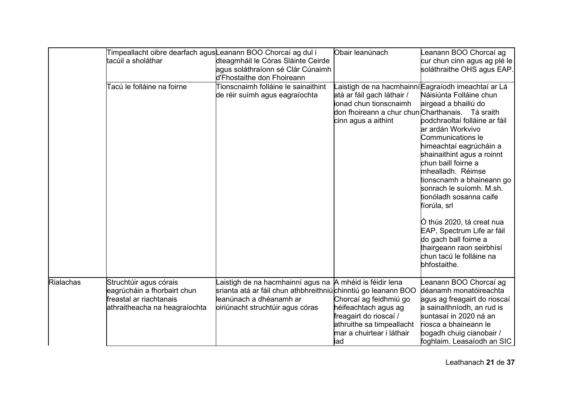|           | Timpeallacht oibre dearfach agusLeanann BOO Chorcaí ag dul i |                                                                       | Obair leanúnach                                                                                                                 | eanann BOO Chorcaí ag                                                                                                                                                                                                                                                                                                                                                                                                                                                    |
|-----------|--------------------------------------------------------------|-----------------------------------------------------------------------|---------------------------------------------------------------------------------------------------------------------------------|--------------------------------------------------------------------------------------------------------------------------------------------------------------------------------------------------------------------------------------------------------------------------------------------------------------------------------------------------------------------------------------------------------------------------------------------------------------------------|
|           | tacúil a sholáthar                                           | dteagmháil le Córas Sláinte Ceirde                                    |                                                                                                                                 | cur chun cinn agus ag plé le                                                                                                                                                                                                                                                                                                                                                                                                                                             |
|           |                                                              | agus soláthraíonn sé Clár Cúnaimh                                     |                                                                                                                                 | soláthraithe OHS agus EAP.                                                                                                                                                                                                                                                                                                                                                                                                                                               |
|           |                                                              | d'Fhostaithe don Fhoireann                                            |                                                                                                                                 |                                                                                                                                                                                                                                                                                                                                                                                                                                                                          |
|           | Tacú le folláine na foirne                                   | Tionscnaimh folláine le sainaithint<br>de réir suímh agus eagraíochta | atá ar fáil gach láthair /<br>ionad chun tionscnaimh<br>don fhoireann a chur chun Charthanais. Tá sraith<br>cinn agus a aithint | <sub>-</sub> aistigh de na hacmhainní∣Eagraíodh imeachtaí ar Lá<br>Náisiúnta Folláine chun<br>airgead a bhailiú do<br>podchraoltaí folláine ar fáil<br>ar ardán Workvivo<br><b>Communications le</b><br>himeachtaí eagrúcháin a<br>shainaithint agus a roinnt<br>chun baill foirne a<br>mhealladh. Réimse<br>tionscnamh a bhaineann go<br>sonrach le suíomh. M.sh.<br>tionóladh sosanna caife<br>fíorúla, srl<br>Ó thús 2020, tá creat nua<br>EAP, Spectrum Life ar fáil |
|           |                                                              |                                                                       |                                                                                                                                 | do gach ball foirne a<br>thairgeann raon seirbhísí<br>chun tacú le folláine na<br>bhfostaithe.                                                                                                                                                                                                                                                                                                                                                                           |
| Rialachas | Struchtúir agus córais                                       | .aistigh de na hacmhainní agus na ∣A mhéid is féidir lena             |                                                                                                                                 | eanann BOO Chorcaí ag                                                                                                                                                                                                                                                                                                                                                                                                                                                    |
|           | eagrúcháin a fhorbairt chun                                  | srianta atá ar fáil chun athbhreithniú chinntiú go leanann BOO        |                                                                                                                                 | déanamh monatóireachta                                                                                                                                                                                                                                                                                                                                                                                                                                                   |
|           | freastal ar riachtanais                                      | leanúnach a dhéanamh ar                                               | Chorcaí ag feidhmiú go                                                                                                          | agus ag freagairt do rioscaí                                                                                                                                                                                                                                                                                                                                                                                                                                             |
|           | athraitheacha na heagraíochta                                | oiriúnacht struchtúir agus córas                                      | héifeachtach agus ag                                                                                                            | a sainaithníodh, an rud is                                                                                                                                                                                                                                                                                                                                                                                                                                               |
|           |                                                              |                                                                       | freagairt do rioscaí /                                                                                                          | suntasaí in 2020 ná an                                                                                                                                                                                                                                                                                                                                                                                                                                                   |
|           |                                                              |                                                                       | athruithe sa timpeallacht                                                                                                       | riosca a bhaineann le                                                                                                                                                                                                                                                                                                                                                                                                                                                    |
|           |                                                              |                                                                       | mar a chuirtear i láthair                                                                                                       | bogadh chuig cianobair /                                                                                                                                                                                                                                                                                                                                                                                                                                                 |
|           |                                                              |                                                                       | iad                                                                                                                             | foghlaim. Leasaíodh an SIC                                                                                                                                                                                                                                                                                                                                                                                                                                               |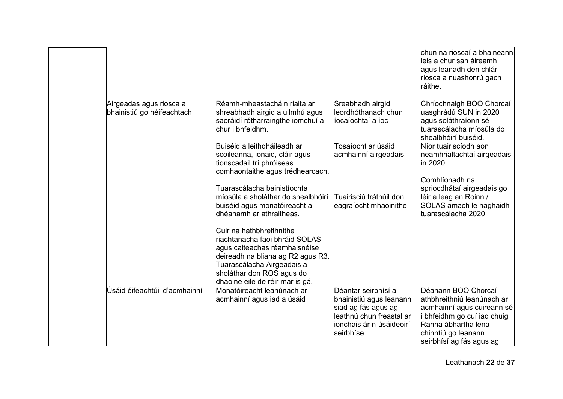|                                                       |                                                                                                                                                                                                                                |                                                                                                                                            | chun na rioscaí a bhaineann<br>leis a chur san áireamh<br>agus leanadh den chlár<br>riosca a nuashonrú gach<br>ráithe.                                                                 |
|-------------------------------------------------------|--------------------------------------------------------------------------------------------------------------------------------------------------------------------------------------------------------------------------------|--------------------------------------------------------------------------------------------------------------------------------------------|----------------------------------------------------------------------------------------------------------------------------------------------------------------------------------------|
| Airgeadas agus riosca a<br>bhainistiú go héifeachtach | Réamh-mheastacháin rialta ar<br>shreabhadh airgid a ullmhú agus<br>saoráidí rótharraingthe iomchuí a<br>chur i bhfeidhm.                                                                                                       | Sreabhadh airgid<br>leordhóthanach chun<br>íocaíochtaí a íoc                                                                               | Chríochnaigh BOO Chorcaí<br>uasghrádú SUN in 2020<br>agus soláthraíonn sé<br>tuarascálacha míosúla do<br>shealbhóirí buiséid.                                                          |
|                                                       | Buiséid a leithdháileadh ar<br>scoileanna, ionaid, cláir agus<br>tionscadail trí phróiseas<br>comhaontaithe agus trédhearcach.                                                                                                 | Tosaíocht ar úsáid<br>acmhainní airgeadais.                                                                                                | Níor tuairiscíodh aon<br>neamhrialtachtaí airgeadais<br>in 2020.<br>Comhlíonadh na                                                                                                     |
|                                                       | Tuarascálacha bainistíochta<br>míosúla a sholáthar do shealbhóirí<br>buiséid agus monatóireacht a<br>dhéanamh ar athraitheas.                                                                                                  | Tuairisciú tráthúil don<br>eagraíocht mhaoinithe                                                                                           | spriocdhátaí airgeadais go<br>léir a leag an Roinn /<br>SOLAS amach le haghaidh<br>tuarascálacha 2020                                                                                  |
|                                                       | Cuir na hathbhreithnithe<br>riachtanacha faoi bhráid SOLAS<br>agus caiteachas réamhaisnéise<br>deireadh na bliana ag R2 agus R3.<br>Tuarascálacha Airgeadais a<br>sholáthar don ROS agus do<br>dhaoine eile de réir mar is gá. |                                                                                                                                            |                                                                                                                                                                                        |
| Úsáid éifeachtúil d'acmhainní                         | Monatóireacht leanúnach ar<br>acmhainní agus iad a úsáid                                                                                                                                                                       | Déantar seirbhísí a<br>bhainistiú agus leanann<br>siad ag fás agus ag<br>leathnú chun freastal ar<br>ionchais ár n-úsáideoirí<br>seirbhíse | Déanann BOO Chorcaí<br>athbhreithniú leanúnach ar<br>acmhainní agus cuireann sé<br>bhfeidhm go cuí iad chuig<br>Ranna ábhartha lena<br>chinntiú go leanann<br>seirbhísí ag fás agus ag |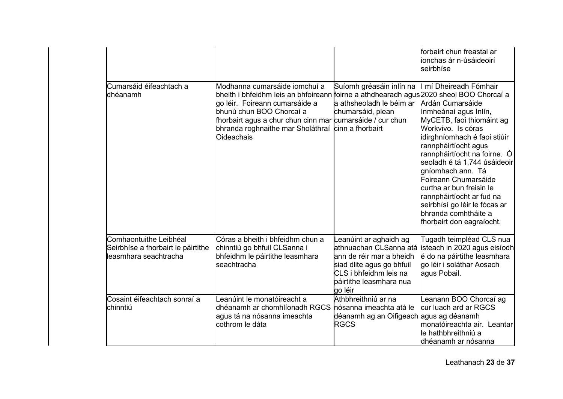|                                                                                       |                                                                                                                                                                                                                                                                                                                         |                                                                                                                                                                          | forbairt chun freastal ar<br>ionchas ár n-úsáideoirí<br>seirbhíse                                                                                                                                                                                                                                                                                                                                                                         |
|---------------------------------------------------------------------------------------|-------------------------------------------------------------------------------------------------------------------------------------------------------------------------------------------------------------------------------------------------------------------------------------------------------------------------|--------------------------------------------------------------------------------------------------------------------------------------------------------------------------|-------------------------------------------------------------------------------------------------------------------------------------------------------------------------------------------------------------------------------------------------------------------------------------------------------------------------------------------------------------------------------------------------------------------------------------------|
| Cumarsáid éifeachtach a<br>dhéanamh                                                   | Modhanna cumarsáide iomchuí a<br>bheith i bhfeidhm leis an bhfoireann foirne a athdhearadh agus 2020 sheol BOO Chorcaí a<br>go léir. Foireann cumarsáide a<br>bhunú chun BOO Chorcaí a<br>fhorbairt agus a chur chun cinn mar cumarsáide / cur chun<br>bhranda roghnaithe mar Sholáthraí cinn a fhorbairt<br>Oideachais | Suíomh gréasáin inlín na<br>a athsheoladh le béim ar<br>chumarsáid, plean                                                                                                | mí Dheireadh Fómhair<br>Ardán Cumarsáide<br>Inmheánaí agus Inlín,<br>MyCETB, faoi thiomáint ag<br>Workvivo. Is córas<br>idirghníomhach é faoi stiúir<br>rannpháirtíocht agus<br>rannpháirtíocht na foirne.  Ó<br>seoladh é tá 1,744 úsáideoir<br>gníomhach ann. Tá<br>Foireann Chumarsáide<br>curtha ar bun freisin le<br>rannpháirtíocht ar fud na<br>seirbhísí go léir le fócas ar<br>bhranda comhtháite a<br>fhorbairt don eagraíocht. |
| Comhaontuithe Leibhéal<br>Seirbhíse a fhorbairt le páirtithe<br>leasmhara seachtracha | Córas a bheith i bhfeidhm chun a<br>chinntiú go bhfuil CLSanna i<br>bhfeidhm le páirtithe leasmhara<br>seachtracha                                                                                                                                                                                                      | eanúint ar aghaidh ag<br>athnuachan CLSanna atá<br>ann de réir mar a bheidh<br>siad dlite agus go bhfuil<br>CLS i bhfeidhm leis na<br>páirtithe leasmhara nua<br>go léir | Tugadh teimpléad CLS nua<br>isteach in 2020 agus eisíodh<br>é do na páirtithe leasmhara<br>go léir i soláthar Aosach<br>agus Pobail.                                                                                                                                                                                                                                                                                                      |
| lCosaint éifeachtach sonraí a<br>lchinntiú                                            | eanúint le monatóireacht a<br>dhéanamh ar chomhlíonadh RGCS Ínósanna imeachta atá le<br>agus tá na nósanna imeachta<br>cothrom le dáta                                                                                                                                                                                  | Athbhreithniú ar na<br>déanamh ag an Oifigeach agus ag déanamh<br><b>RGCS</b>                                                                                            | eanann BOO Chorcaí ag<br>cur luach ard ar RGCS<br>monatóireachta air. Leantar<br>le hathbhreithniú a<br>dhéanamh ar nósanna                                                                                                                                                                                                                                                                                                               |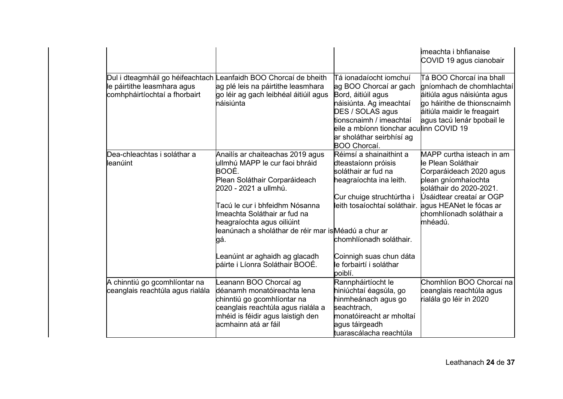|                                                                   |                                                                                                                                                                                                                                                                                                                                                                          |                                                                                                                                                                                                                                                           | <b>i</b> meachta i bhfianaise<br>COVID 19 agus cianobair                                                                                                                                                                   |
|-------------------------------------------------------------------|--------------------------------------------------------------------------------------------------------------------------------------------------------------------------------------------------------------------------------------------------------------------------------------------------------------------------------------------------------------------------|-----------------------------------------------------------------------------------------------------------------------------------------------------------------------------------------------------------------------------------------------------------|----------------------------------------------------------------------------------------------------------------------------------------------------------------------------------------------------------------------------|
| le páirtithe leasmhara agus<br>comhpháirtíochtaí a fhorbairt      | Dul i dteagmháil go héifeachtach Leanfaidh BOO Chorcaí de bheith<br>ag plé leis na páirtithe leasmhara<br>go léir ag gach leibhéal áitiúil agus<br>háisiúnta                                                                                                                                                                                                             | Tá ionadaíocht iomchuí<br>ag BOO Chorcaí ar gach<br>Bord, áitiúil agus<br>náisiúnta. Ag imeachtaí<br>DES / SOLAS agus<br>tionscnaimh / imeachtaí<br>eile a mbíonn tionchar acu <b>l</b> inn COVID 19<br>ar sholáthar seirbhísí ag<br>BOO Chorcaí.         | Tá BOO Chorcaí ina bhall<br>gníomhach de chomhlachtaí<br>áitiúla agus náisiúnta agus<br>go háirithe de thionscnaimh<br>áitiúla maidir le freagairt<br>agus tacú lenár bpobail le                                           |
| Dea-chleachtas i soláthar a<br>leanúint                           | Anailís ar chaiteachas 2019 agus<br>ullmhú MAPP le cur faoi bhráid<br>BOOÉ.<br>Plean Soláthair Corparáideach<br>2020 - 2021 a ullmhú.<br>Tacú le cur i bhfeidhm Nósanna<br>Imeachta Soláthair ar fud na<br>heagraíochta agus oiliúint<br>leanúnach a sholáthar de réir mar isMéadú a chur ar<br>gá.<br>Leanúint ar aghaidh ag glacadh<br>páirte i Líonra Soláthair BOOÉ. | Réimsí a shainaithint a<br>dteastaíonn próisis<br>soláthair ar fud na<br>heagraíochta ina leith.<br>Cur chuige struchtúrtha i<br>leith tosaíochtaí soláthair.<br>chomhlíonadh soláthair.<br>Coinnigh suas chun dáta<br>le forbairtí i soláthar<br>poiblí. | MAPP curtha isteach in am<br>le Plean Soláthair<br>Corparáideach 2020 agus<br>plean gníomhaíochta<br>soláthair do 2020-2021.<br>Úsáidtear creataí ar OGP<br>agus HEANet le fócas ar<br>chomhlíonadh soláthair a<br>mhéadú. |
| A chinntiú go gcomhlíontar na<br>ceanglais reachtúla agus rialála | Leanann BOO Chorcaí ag<br>déanamh monatóireachta lena<br>chinntiú go gcomhlíontar na<br>ceanglais reachtúla agus rialála a<br>mhéid is féidir agus laistigh den<br>acmhainn atá ar fáil                                                                                                                                                                                  | Rannpháirtíocht le<br>hiniúchtaí éagsúla, go<br>hinmheánach agus go<br>seachtrach,<br>monatóireacht ar mholtaí<br>agus táirgeadh<br>tuarascálacha reachtúla                                                                                               | Chomhlíon BOO Chorcaí na<br>ceanglais reachtúla agus<br>rialála go léir in 2020                                                                                                                                            |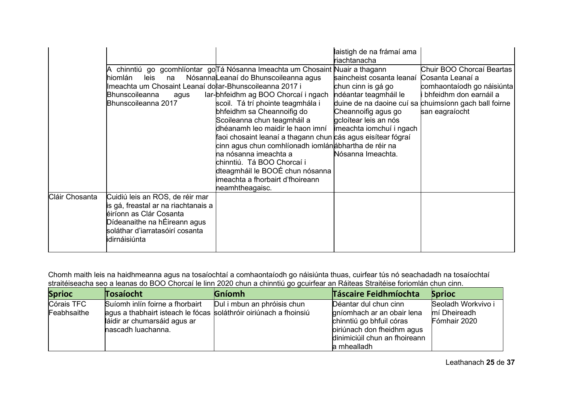|                | leis<br>hiomlán<br>na<br>Imeachta um Chosaint Leanaí dollar-Bhunscoileanna 2017 i<br>Bhunscoileanna<br>agus<br>Bhunscoileanna 2017                                                    | ∣A  chinntiú  go  gcomhlíontar  go∏á Nósanna Imeachta um Chosaint Nuair a thagann<br>Nósanna Leanaí do Bhunscoileanna agus<br>Iar-bhfeidhm ag BOO Chorcaí i ngach<br>scoil. Tá trí phointe teagmhála i<br>bhfeidhm sa Cheannoifig do<br>Scoileanna chun teagmháil a<br>dhéanamh leo maidir le haon imní<br>faoi chosaint leanaí a thagann chun cás agus eisítear fógraí<br>cinn agus chun comhlíonadh iomlánábhartha de réir na<br>na nósanna imeachta a<br>chinntiú.  Tá BOO Chorcaí i<br>dteagmháil le BOOÉ chun nósanna<br>imeachta a fhorbairt d'fhoireann<br>neamhtheagaisc. | laistigh de na frámaí ama<br>riachtanacha<br>saincheist cosanta leanaí Cosanta Leanaí a<br>chun cinn is gá go<br>ndéantar teagmháil le<br>Cheannoifig agus go<br>gcloítear leis an nós<br>imeachta iomchuí i ngach<br>Nósanna Imeachta. | Chuir BOO Chorcaí Beartas<br>comhaontaíodh go náisiúnta<br>bhfeidhm don earnáil a<br>duine de na daoine cuí sa chuimsíonn gach ball foirne<br>san eagraíocht |
|----------------|---------------------------------------------------------------------------------------------------------------------------------------------------------------------------------------|-----------------------------------------------------------------------------------------------------------------------------------------------------------------------------------------------------------------------------------------------------------------------------------------------------------------------------------------------------------------------------------------------------------------------------------------------------------------------------------------------------------------------------------------------------------------------------------|-----------------------------------------------------------------------------------------------------------------------------------------------------------------------------------------------------------------------------------------|--------------------------------------------------------------------------------------------------------------------------------------------------------------|
| Cláir Chosanta | Cuidiú leis an ROS, de réir mar<br>is gá, freastal ar na riachtanais a<br>éiríonn as Clár Cosanta<br>Dídeanaithe na hÉireann agus<br>soláthar d'iarratasóirí cosanta<br>idirnáisiúnta |                                                                                                                                                                                                                                                                                                                                                                                                                                                                                                                                                                                   |                                                                                                                                                                                                                                         |                                                                                                                                                              |

Chomh maith leis na haidhmeanna agus na tosaíochtaí a comhaontaíodh go náisiúnta thuas, cuirfear tús nó seachadadh na tosaíochtaí straitéiseacha seo a leanas do BOO Chorcaí le linn 2020 chun a chinntiú go gcuirfear an Ráiteas Straitéise foriomlán chun cinn.

| <b>Sprioc</b> | Tosaíocht                                                          | <b>Gníomh</b>               | <b>Táscaire Feidhmíochta</b>  | <b>Sprioc</b>      |
|---------------|--------------------------------------------------------------------|-----------------------------|-------------------------------|--------------------|
| Córais TFC    | Suíomh inlín foirne a fhorbairt                                    | Dul i mbun an phróisis chun | Déantar dul chun cinn         | Seoladh Workvivo i |
| Feabhsaithe   | lagus a thabhairt isteach le fócas soláthróir oiriúnach a fhoinsiú |                             | gníomhach ar an obair lena    | mí Dheireadh       |
|               | láidir ar chumarsáid agus ar                                       |                             | chinntiú go bhfuil córas      | Fómhair 2020       |
|               | nascadh luachanna.                                                 |                             | piriúnach don fheidhm agus    |                    |
|               |                                                                    |                             | dinimiciúil chun an fhoireann |                    |
|               |                                                                    |                             | a mhealladh                   |                    |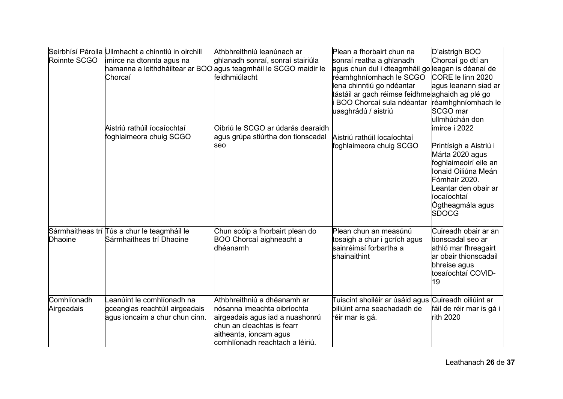| Roinnte SCGO              | Seirbhísí Párolla Ullmhacht a chinntiú in oirchill<br>imirce na dtonnta agus na<br>Chorcaí    | Athbhreithniú leanúnach ar<br>ghlanadh sonraí, sonraí stairiúla<br>hamanna a leithdháiltear ar BOO agus teagmháil le SCGO maidir le<br>feidhmiúlacht                                     | Plean a fhorbairt chun na<br>sonraí reatha a ghlanadh<br>agus chun dul i dteagmháil go leagan is déanaí de<br>réamhghníomhach le SCGO<br>lena chinntiú go ndéantar<br>tástáil ar gach réimse feidhme∣aghaidh ag plé go<br>BOO Chorcaí sula ndéantar<br>uasghrádú / aistriú | D'aistrigh BOO<br>Chorcaí go dtí an<br>CORE le linn 2020<br>agus leanann siad ar<br>réamhghníomhach le<br>SCGO mar                                                                                                       |
|---------------------------|-----------------------------------------------------------------------------------------------|------------------------------------------------------------------------------------------------------------------------------------------------------------------------------------------|----------------------------------------------------------------------------------------------------------------------------------------------------------------------------------------------------------------------------------------------------------------------------|--------------------------------------------------------------------------------------------------------------------------------------------------------------------------------------------------------------------------|
|                           | Aistriú rathúil íocaíochtaí<br>foghlaimeora chuig SCGO                                        | Oibriú le SCGO ar údarás dearaidh<br>agus grúpa stiúrtha don tionscadal<br>seo                                                                                                           | Aistriú rathúil íocaíochtaí<br>foghlaimeora chuig SCGO                                                                                                                                                                                                                     | ullmhúchán don<br>imirce i 2022<br>Printísigh a Aistriú i<br>Márta 2020 agus<br>foghlaimeoirí eile an<br>Ionaid Oiliúna Meán<br>Fómhair 2020.<br>eantar den obair ar.<br>íocaíochtaí<br>Ógtheagmála agus<br><b>SDOCG</b> |
| <b>Dhaoine</b>            | Sármhaitheas trí Tús a chur le teagmháil le<br>Sármhaitheas trí Dhaoine                       | Chun scóip a fhorbairt plean do<br>BOO Chorcaí aighneacht a<br>dhéanamh                                                                                                                  | Plean chun an measúnú<br>tosaigh a chur i gcrích agus<br>sainréimsí forbartha a<br>shainaithint                                                                                                                                                                            | Cuireadh obair ar an<br>tionscadal seo ar<br>athló mar fhreagairt<br>ar obair thionscadail<br>bhreise agus<br>tosaíochtaí COVID-<br>19                                                                                   |
| Comhlíonadh<br>Airgeadais | eanúint le comhlíonadh na<br>gceanglas reachtúil airgeadais<br>agus ioncaim a chur chun cinn. | Athbhreithniú a dhéanamh ar<br>nósanna imeachta oibríochta<br>airgeadais agus iad a nuashonrú<br>chun an cleachtas is fearr<br>aitheanta, ioncam agus<br>comhlíonadh reachtach a léiriú. | Tuiscint shoiléir ar úsáid agus Cuireadh oiliúint ar<br>biliúint arna seachadadh de<br>réir mar is gá.                                                                                                                                                                     | fáil de réir mar is gá i<br>rith 2020                                                                                                                                                                                    |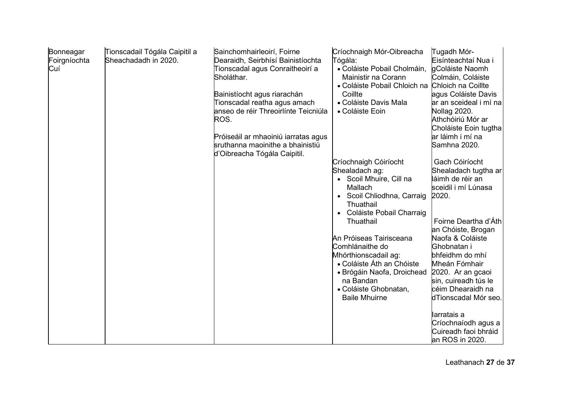| Bonneagar<br>Foirgníochta<br>Cuí | Tionscadail Tógála Caipitil a<br>Sheachadadh in 2020. | Sainchomhairleoirí, Foirne<br>Dearaidh, Seirbhísí Bainistíochta<br>Tionscadal agus Conraitheoirí a<br>Sholáthar.<br>Bainistíocht agus riarachán<br>Tionscadal reatha agus amach<br>anseo de réir Threoirlínte Teicniúla<br>ROS.<br>Próiseáil ar mhaoiniú iarratas agus<br>sruthanna maoinithe a bhainistiú<br>d'Oibreacha Tógála Caipitil. | Críochnaigh Mór-Oibreacha<br>Tógála:<br>• Coláiste Pobail Cholmáin,<br>Mainistir na Corann<br>• Coláiste Pobail Chloich na<br>Coillte<br>• Coláiste Davis Mala<br>• Coláiste Eoin           | Tugadh Mór-<br>Eisínteachtaí Nua i<br>gColáiste Naomh<br>Colmáin, Coláiste<br>Chloich na Coillte<br>agus Coláiste Davis<br>ar an sceideal i mí na<br>Nollag 2020.<br>Athchóiriú Mór ar<br>Choláiste Eoin tugtha<br>ar láimh i mí na<br>Samhna 2020. |
|----------------------------------|-------------------------------------------------------|--------------------------------------------------------------------------------------------------------------------------------------------------------------------------------------------------------------------------------------------------------------------------------------------------------------------------------------------|---------------------------------------------------------------------------------------------------------------------------------------------------------------------------------------------|-----------------------------------------------------------------------------------------------------------------------------------------------------------------------------------------------------------------------------------------------------|
|                                  |                                                       |                                                                                                                                                                                                                                                                                                                                            | Críochnaigh Cóiríocht<br>Shealadach ag:<br>• Scoil Mhuire, Cill na<br>Mallach<br>• Scoil Chliodhna, Carraig<br>Thuathail<br>• Coláiste Pobail Charraig<br>Thuathail                         | Gach Cóiríocht<br>Shealadach tugtha ar<br>láimh de réir an<br>sceidil i mí Lúnasa<br>2020.<br>Foirne Deartha d'Áth<br>an Chóiste, Brogan                                                                                                            |
|                                  |                                                       |                                                                                                                                                                                                                                                                                                                                            | An Próiseas Tairisceana<br>Comhlánaithe do<br>Mhórthionscadail ag:<br>• Coláiste Áth an Chóiste<br>• Brógáin Naofa, Droichead<br>na Bandan<br>• Coláiste Ghobnatan,<br><b>Baile Mhuirne</b> | Naofa & Coláiste<br>Ghobnatan i<br>bhfeidhm do mhí<br>Mheán Fómhair<br>2020. Ar an gcaoi<br>sin, cuireadh tús le<br>céim Dhearaidh na<br>dTionscadal Mór seo.<br>larratais a                                                                        |
|                                  |                                                       |                                                                                                                                                                                                                                                                                                                                            |                                                                                                                                                                                             | Críochnaíodh agus a<br>Cuireadh faoi bhráid<br>an ROS in 2020.                                                                                                                                                                                      |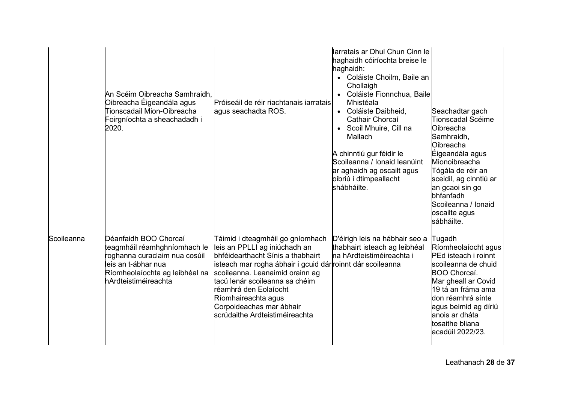|            | An Scéim Oibreacha Samhraidh,<br>Oibreacha Éigeandála agus<br>Tionscadail Mion-Oibreacha<br>Foirgníochta a sheachadadh i<br>2020.                                       | Próiseáil de réir riachtanais iarratais<br>agus seachadta ROS.                                                                                                                                                                                                                                                                                         | larratais ar Dhul Chun Cinn le<br>haghaidh cóiríochta breise le<br>haghaidh:<br>• Coláiste Choilm, Baile an<br>Chollaigh<br>Coláiste Fionnchua, Baile<br>Mhistéala<br>Coláiste Daibheid,<br>Cathair Chorcaí<br>Scoil Mhuire, Cill na<br>Mallach<br>A chinntiú gur féidir le<br>Scoileanna / Ionaid leanúint<br>ar aghaidh ag oscailt agus<br>oibriú i dtimpeallacht<br>shábháilte. | Seachadtar gach<br>Tionscadal Scéime<br>Oibreacha<br>Samhraidh,<br>Oibreacha<br>Éigeandála agus<br>Mionoibreacha<br>Tógála de réir an<br>sceidil, ag cinntiú ar<br>an gcaoi sin go<br>bhfanfadh<br>Scoileanna / Ionaid<br>oscailte agus<br>sábháilte. |
|------------|-------------------------------------------------------------------------------------------------------------------------------------------------------------------------|--------------------------------------------------------------------------------------------------------------------------------------------------------------------------------------------------------------------------------------------------------------------------------------------------------------------------------------------------------|------------------------------------------------------------------------------------------------------------------------------------------------------------------------------------------------------------------------------------------------------------------------------------------------------------------------------------------------------------------------------------|-------------------------------------------------------------------------------------------------------------------------------------------------------------------------------------------------------------------------------------------------------|
| Scoileanna | Déanfaidh BOO Chorcaí<br>teagmháil réamhghníomhach le<br>roghanna curaclaim nua cosúil<br>leis an t-ábhar nua<br>Ríomheolaíochta ag leibhéal na<br>hArdteistiméireachta | Táimid i dteagmháil go gníomhach<br>leis an PPLLI ag iniúchadh an<br>bhféidearthacht Sínis a thabhairt<br>isteach mar rogha ábhair i gcuid dárroinnt dár scoileanna<br>scoileanna. Leanaimid orainn ag<br>tacú lenár scoileanna sa chéim<br>réamhrá den Eolaíocht<br>Ríomhaireachta agus<br>Corpoideachas mar ábhair<br>scrúdaithe Ardteistiméireachta | D'éirigh leis na hábhair seo a<br>thabhairt isteach ag leibhéal<br>na hArdteistiméireachta i                                                                                                                                                                                                                                                                                       | Tugadh<br>Ríomheolaíocht agus<br>PEd isteach i roinnt<br>scoileanna de chuid<br>BOO Chorcaí.<br>Mar gheall ar Covid<br>19 tá an fráma ama<br>don réamhrá sínte<br>agus beimid ag díriú<br>anois ar dháta<br>tosaithe bliana<br>acadúil 2022/23.       |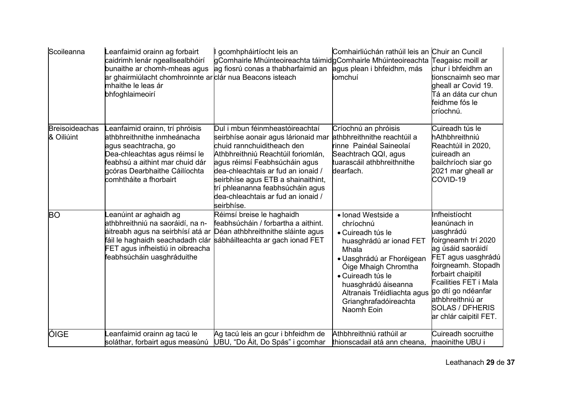| Scoileanna                          | eanfaimid orainn ag forbairt<br>caidrimh lenár ngeallsealbhóirí<br>bunaithe ar chomh-mheas agus<br>ar ghairmiúlacht chomhroinnte ar clár nua Beacons isteach<br>mhaithe le leas ár<br>bhfoghlaimeoirí                | gcomhpháirtíocht leis an<br>gComhairle Mhúinteoireachta táimidgComhairle Mhúinteoireachta<br>ag fiosrú conas a thabharfaimid an                                                                                                                                                                                                                 | Comhairliúchán rathúil leis an Chuir an Cuncil<br>agus plean i bhfeidhm, más<br>iomchuí                                                                                                                                                                         | Teagaisc moill ar<br>chur i bhfeidhm an<br>tionscnaimh seo mar<br>gheall ar Covid 19.<br>Tá an dáta cur chun<br>feidhme fós le<br>críochnú.                                                                                                                               |
|-------------------------------------|----------------------------------------------------------------------------------------------------------------------------------------------------------------------------------------------------------------------|-------------------------------------------------------------------------------------------------------------------------------------------------------------------------------------------------------------------------------------------------------------------------------------------------------------------------------------------------|-----------------------------------------------------------------------------------------------------------------------------------------------------------------------------------------------------------------------------------------------------------------|---------------------------------------------------------------------------------------------------------------------------------------------------------------------------------------------------------------------------------------------------------------------------|
| <b>Breisoideachas</b><br>& Oiliúint | eanfaimid orainn, trí phróisis<br>athbhreithnithe inmheánacha<br>agus seachtracha, go<br>Dea-chleachtas agus réimsí le<br>feabhsú a aithint mar chuid dár<br>gcóras Dearbhaithe Cáilíochta<br>comhtháite a fhorbairt | Dul i mbun féinmheastóireachtaí<br>seirbhíse aonair agus lárionaid mar<br>chuid rannchuiditheach den<br>Athbhreithniú Reachtúil foriomlán,<br>agus réimsí Feabhsúcháin agus<br>dea-chleachtais ar fud an ionaid /<br>seirbhíse agus ETB a shainaithint,<br>trí phleananna feabhsúcháin agus<br>dea-chleachtais ar fud an ionaid /<br>seirbhíse. | Críochnú an phróisis<br>athbhreithnithe reachtúil a<br>rinne Painéal Saineolaí<br>Seachtrach QQI, agus<br>tuarascáil athbhreithnithe<br>dearfach.                                                                                                               | Cuireadh tús le<br>hAthbhreithniú<br>Reachtúil in 2020,<br>cuireadh an<br>bailchríoch siar go<br>2021 mar gheall ar<br>COVID-19                                                                                                                                           |
| BO                                  | eanúint ar aghaidh ag<br>athbhreithniú na saoráidí, na n-<br>áitreabh agus na seirbhísí atá ar<br>fáil le haghaidh seachadadh clár<br>FET agus infheistiú in oibreacha<br>feabhsúcháin uasghráduithe                 | Réimsí breise le haghaidh<br>feabhsúcháin / forbartha a aithint.<br>Déan athbhreithnithe sláinte agus<br>sábháilteachta ar gach ionad FET                                                                                                                                                                                                       | • Ionad Westside a<br>chríochnú<br>• Cuireadh tús le<br>huasghrádú ar ionad FET<br>Mhala<br>• Uasghrádú ar Fhoréigean<br>Oige Mhaigh Chromtha<br>• Cuireadh tús le<br>huasghrádú áiseanna<br>Altranais Tréidliachta agus<br>Grianghrafadóireachta<br>Naomh Eoin | Infheistíocht<br>leanúnach in<br>uasghrádú<br>foirgneamh trí 2020<br>ag úsáid saoráidí<br>FET agus uasghrádú<br>foirgneamh. Stopadh<br>forbairt chaipitil<br>Fcailities FET i Mala<br>go dtí go ndéanfar<br>athbhreithniú ar<br>SOLAS / DFHERIS<br>ar chlár caipitil FET. |
| ÓIGE                                | eanfaimid orainn ag tacú le<br>soláthar, forbairt agus measúnú                                                                                                                                                       | Ag tacú leis an gcur i bhfeidhm de<br>UBU, "Do Áit, Do Spás" i gcomhar                                                                                                                                                                                                                                                                          | Athbhreithniú rathúil ar<br>thionscadail atá ann cheana,                                                                                                                                                                                                        | Cuireadh socruithe<br>maoinithe UBU i                                                                                                                                                                                                                                     |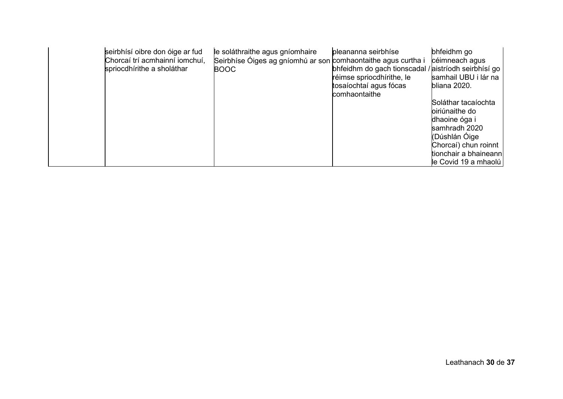| seirbhísí oibre don óige ar fud<br>Chorcaí trí acmhainní iomchuí,<br>spriocdhírithe a sholáthar | le soláthraithe agus gníomhaire<br>Seirbhíse Óiges ag gníomhú ar son comhaontaithe agus curtha i<br><b>BOOC</b> | pleananna seirbhíse<br>bhfeidhm do gach tionscadal / aistríodh seirbhísí go<br>réimse spriocdhírithe, le<br>tosaíochtaí agus fócas<br>comhaontaithe | bhfeidhm go<br>céimneach agus<br>samhail UBU i lár na<br>bliana 2020.<br>Soláthar tacaíochta<br>biriúnaithe do<br>dhaoine óga i<br>samhradh 2020<br>(Dúshlán Óige<br>Chorcaí) chun roinnt<br>tionchair a bhaineann<br>le Covid 19 a mhaolú |
|-------------------------------------------------------------------------------------------------|-----------------------------------------------------------------------------------------------------------------|-----------------------------------------------------------------------------------------------------------------------------------------------------|--------------------------------------------------------------------------------------------------------------------------------------------------------------------------------------------------------------------------------------------|
|-------------------------------------------------------------------------------------------------|-----------------------------------------------------------------------------------------------------------------|-----------------------------------------------------------------------------------------------------------------------------------------------------|--------------------------------------------------------------------------------------------------------------------------------------------------------------------------------------------------------------------------------------------|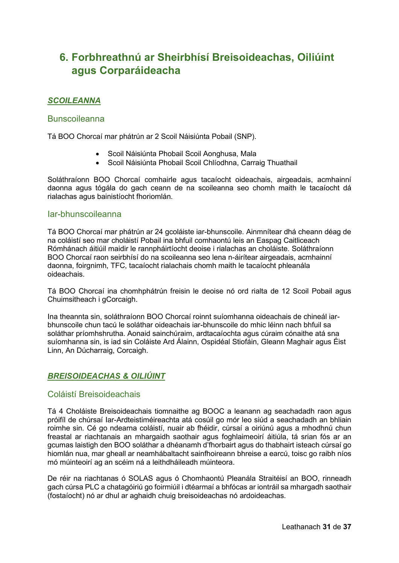## <span id="page-30-0"></span>**6. Forbhreathnú ar Sheirbhísí Breisoideachas, Oiliúint agus Corparáideacha**

### *SCOILEANNA*

#### Bunscoileanna

Tá BOO Chorcaí mar phátrún ar 2 Scoil Náisiúnta Pobail (SNP).

- Scoil Náisiúnta Phobail Scoil Aonghusa, Mala
- Scoil Náisiúnta Phobail Scoil Chlíodhna, Carraig Thuathail

Soláthraíonn BOO Chorcaí comhairle agus tacaíocht oideachais, airgeadais, acmhainní daonna agus tógála do gach ceann de na scoileanna seo chomh maith le tacaíocht dá rialachas agus bainistíocht fhoriomlán.

#### Iar-bhunscoileanna

Tá BOO Chorcaí mar phátrún ar 24 gcoláiste iar-bhunscoile. Ainmnítear dhá cheann déag de na coláistí seo mar choláistí Pobail ina bhfuil comhaontú leis an Easpag Caitliceach Rómhánach áitiúil maidir le rannpháirtíocht deoise i rialachas an choláiste. Soláthraíonn BOO Chorcaí raon seirbhísí do na scoileanna seo lena n-áirítear airgeadais, acmhainní daonna, foirgnimh, TFC, tacaíocht rialachais chomh maith le tacaíocht phleanála oideachais.

Tá BOO Chorcaí ina chomhphátrún freisin le deoise nó ord rialta de 12 Scoil Pobail agus Chuimsitheach i gCorcaigh.

Ina theannta sin, soláthraíonn BOO Chorcaí roinnt suíomhanna oideachais de chineál iarbhunscoile chun tacú le soláthar oideachais iar-bhunscoile do mhic léinn nach bhfuil sa soláthar príomhshrutha. Aonaid sainchúraim, ardtacaíochta agus cúraim cónaithe atá sna suíomhanna sin, is iad sin Coláiste Ard Álainn, Ospidéal Stiofáin, Gleann Maghair agus Éist Linn, An Dúcharraig, Corcaigh.

## *BREISOIDEACHAS & OILIÚINT*

#### Coláistí Breisoideachais

Tá 4 Choláiste Breisoideachais tiomnaithe ag BOOC a leanann ag seachadadh raon agus próifíl de chúrsaí Iar-Ardteistiméireachta atá cosúil go mór leo siúd a seachadadh an bhliain roimhe sin. Cé go ndearna coláistí, nuair ab fhéidir, cúrsaí a oiriúnú agus a mhodhnú chun freastal ar riachtanais an mhargaidh saothair agus foghlaimeoirí áitiúla, tá srian fós ar an gcumas laistigh den BOO soláthar a dhéanamh d'fhorbairt agus do thabhairt isteach cúrsaí go hiomlán nua, mar gheall ar neamhábaltacht sainfhoireann bhreise a earcú, toisc go raibh níos mó múinteoirí ag an scéim ná a leithdháileadh múinteora.

De réir na riachtanas ó SOLAS agus ó Chomhaontú Pleanála Straitéisí an BOO, rinneadh gach cúrsa PLC a chatagóiriú go foirmiúil i dtéarmaí a bhfócas ar iontráil sa mhargadh saothair (fostaíocht) nó ar dhul ar aghaidh chuig breisoideachas nó ardoideachas.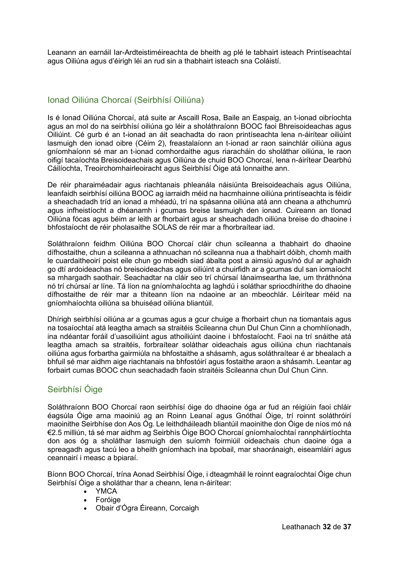Leanann an earnáil Iar-Ardteistiméireachta de bheith ag plé le tabhairt isteach Printíseachtaí agus Oiliúna agus d'éirigh léi an rud sin a thabhairt isteach sna Coláistí. 

## Ionad Oiliúna Chorcaí (Seirbhísí Oiliúna)

Is é Ionad Oiliúna Chorcaí, atá suite ar Ascaill Rosa, Baile an Easpaig, an t-ionad oibríochta agus an mol do na seirbhísí oiliúna go léir a sholáthraíonn BOOC faoi Bhreisoideachas agus Oiliúint. Cé gurb é an t-ionad an áit seachadta do raon printíseachta lena n-áirítear oiliúint lasmuigh den ionad oibre (Céim 2), freastalaíonn an t-ionad ar raon sainchlár oiliúna agus gníomhaíonn sé mar an t-ionad comhordaithe agus riaracháin do sholáthar oiliúna, le raon oifigí tacaíochta Breisoideachais agus Oiliúna de chuid BOO Chorcaí, lena n-áirítear Dearbhú Cáilíochta, Treoirchomhairleoiracht agus Seirbhísí Óige atá lonnaithe ann.

De réir pharaiméadair agus riachtanais phleanála náisiúnta Breisoideachais agus Oiliúna, leanfaidh seirbhísí oiliúna BOOC ag iarraidh méid na hacmhainne oiliúna printíseachta is féidir a sheachadadh tríd an ionad a mhéadú, trí na spásanna oiliúna atá ann cheana a athchumrú agus infheistíocht a dhéanamh i gcumas breise lasmuigh den ionad. Cuireann an tIonad Oiliúna fócas agus béim ar leith ar fhorbairt agus ar sheachadadh oiliúna breise do dhaoine i bhfostaíocht de réir pholasaithe SOLAS de réir mar a fhorbraítear iad.

Soláthraíonn feidhm Oiliúna BOO Chorcaí cláir chun scileanna a thabhairt do dhaoine dífhostaithe, chun a scileanna a athnuachan nó scileanna nua a thabhairt dóibh, chomh maith le cuardaitheoirí poist eile chun go mbeidh siad ábalta post a aimsiú agus/nó dul ar aghaidh go dtí ardoideachas nó breisoideachas agus oiliúint a chuirfidh ar a gcumas dul san iomaíocht sa mhargadh saothair. Seachadtar na cláir seo trí chúrsaí lánaimseartha lae, um thráthnóna nó trí chúrsaí ar líne. Tá líon na gníomhaíochta ag laghdú i soláthar spriocdhírithe do dhaoine dífhostaithe de réir mar a thiteann líon na ndaoine ar an mbeochlár. Léirítear méid na gníomhaíochta oiliúna sa bhuiséad oiliúna bliantúil.

Dhírigh seirbhísí oiliúna ar a gcumas agus a gcur chuige a fhorbairt chun na tiomantais agus na tosaíochtaí atá leagtha amach sa straitéis Scileanna chun Dul Chun Cinn a chomhlíonadh, ina ndéantar foráil d'uasoiliúint agus athoiliúint daoine i bhfostaíocht. Faoi na trí snáithe atá leagtha amach sa straitéis, forbraítear soláthar oideachais agus oiliúna chun riachtanais oiliúna agus forbartha gairmiúla na bhfostaithe a shásamh, agus soláthraítear é ar bhealach a bhfuil sé mar aidhm aige riachtanais na bhfostóirí agus fostaithe araon a shásamh. Leantar ag forbairt cumas BOOC chun seachadadh faoin straitéis Scileanna chun Dul Chun Cinn.

## Seirbhísí Óige

Soláthraíonn BOO Chorcaí raon seirbhísí óige do dhaoine óga ar fud an réigiúin faoi chláir éagsúla Óige arna maoiniú ag an Roinn Leanaí agus Gnóthaí Óige, trí roinnt soláthróirí maoinithe Seirbhíse don Aos Óg. Le leithdháileadh bliantúil maoinithe don Óige de níos mó ná €2.5 milliún, tá sé mar aidhm ag Seirbhís Óige BOO Chorcaí gníomhaíochtaí rannpháirtíochta don aos óg a sholáthar lasmuigh den suíomh foirmiúil oideachais chun daoine óga a spreagadh agus tacú leo a bheith gníomhach ina bpobail, mar shaoránaigh, eiseamláirí agus ceannairí i measc a bpiaraí.

Bíonn BOO Chorcaí, trína Aonad Seirbhísí Óige, i dteagmháil le roinnt eagraíochtaí Óige chun Seirbhísí Óige a sholáthar thar a cheann, lena n-áirítear:

- YMCA
- Foróige
- Obair d'Ógra Éireann, Corcaigh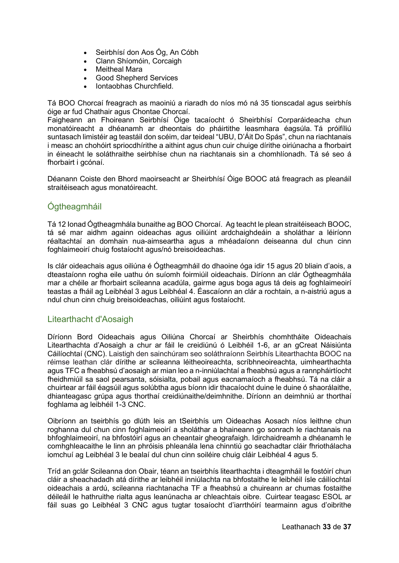- Seirbhísí don Aos Óg, An Cóbh
- Clann Shíomóin, Corcaigh
- **Meitheal Mara**
- Good Shepherd Services
- Iontaobhas Churchfield.

Tá BOO Chorcaí freagrach as maoiniú a riaradh do níos mó ná 35 tionscadal agus seirbhís óige ar fud Chathair agus Chontae Chorcaí.

Faigheann an Fhoireann Seirbhísí Óige tacaíocht ó Sheirbhísí Corparáideacha chun monatóireacht a dhéanamh ar dheontais do pháirtithe leasmhara éagsúla. Tá próifíliú suntasach limistéir ag teastáil don scéim, dar teideal "UBU, D'Áit Do Spás", chun na riachtanais i measc an chohóirt spriocdhírithe a aithint agus chun cuir chuige dírithe oiriúnacha a fhorbairt in éineacht le soláthraithe seirbhíse chun na riachtanais sin a chomhlíonadh. Tá sé seo á fhorbairt i gcónaí.

Déanann Coiste den Bhord maoirseacht ar Sheirbhísí Óige BOOC atá freagrach as pleanáil straitéiseach agus monatóireacht.

## Ógtheagmháil

Tá 12 Ionad Ógtheagmhála bunaithe ag BOO Chorcaí. Ag teacht le plean straitéiseach BOOC, tá sé mar aidhm againn oideachas agus oiliúint ardchaighdeáin a sholáthar a léiríonn réaltachtaí an domhain nua-aimseartha agus a mhéadaíonn deiseanna dul chun cinn foghlaimeoirí chuig fostaíocht agus/nó breisoideachas.

Is clár oideachais agus oiliúna é Ógtheagmháil do dhaoine óga idir 15 agus 20 bliain d'aois, a dteastaíonn rogha eile uathu ón suíomh foirmiúil oideachais. Díríonn an clár Ógtheagmhála mar a chéile ar fhorbairt scileanna acadúla, gairme agus boga agus tá deis ag foghlaimeoirí teastas a fháil ag Leibhéal 3 agus Leibhéal 4. Éascaíonn an clár a rochtain, a n-aistriú agus a ndul chun cinn chuig breisoideachas, oiliúint agus fostaíocht.

## Litearthacht d'Aosaigh

Díríonn Bord Oideachais agus Oiliúna Chorcaí ar Sheirbhís chomhtháite Oideachais Litearthachta d'Aosaigh a chur ar fáil le creidiúnú ó Leibhéil 1-6, ar an gCreat Náisiúnta Cáilíochtaí (CNC). Laistigh den sainchúram seo soláthraíonn Seirbhís Litearthachta BOOC na réimse leathan clár dírithe ar scileanna léitheoireachta, scríbhneoireachta, uimhearthachta agus TFC a fheabhsú d'aosaigh ar mian leo a n-inniúlachtaí a fheabhsú agus a rannpháirtíocht fheidhmiúil sa saol pearsanta, sóisialta, pobail agus eacnamaíoch a fheabhsú. Tá na cláir a chuirtear ar fáil éagsúil agus solúbtha agus bíonn idir thacaíocht duine le duine ó shaorálaithe, dhianteagasc grúpa agus thorthaí creidiúnaithe/deimhnithe. Díríonn an deimhniú ar thorthaí foghlama ag leibhéil 1-3 CNC.

Oibríonn an tseirbhís go dlúth leis an tSeirbhís um Oideachas Aosach níos leithne chun roghanna dul chun cinn foghlaimeoirí a sholáthar a bhaineann go sonrach le riachtanais na bhfoghlaimeoirí, na bhfostóirí agus an cheantair gheografaigh. Idirchaidreamh a dhéanamh le comhghleacaithe le linn an phróisis phleanála lena chinntiú go seachadtar cláir fhriothálacha iomchuí ag Leibhéal 3 le bealaí dul chun cinn soiléire chuig cláir Leibhéal 4 agus 5.

Tríd an gclár Scileanna don Obair, téann an tseirbhís litearthachta i dteagmháil le fostóirí chun cláir a sheachadadh atá dírithe ar leibhéil inniúlachta na bhfostaithe le leibhéil ísle cáilíochtaí oideachais a ardú, scileanna riachtanacha TF a fheabhsú a chuireann ar chumas fostaithe déileáil le hathruithe rialta agus leanúnacha ar chleachtais oibre.  Cuirtear teagasc ESOL ar fáil suas go Leibhéal 3 CNC agus tugtar tosaíocht d'iarrthóirí tearmainn agus d'oibrithe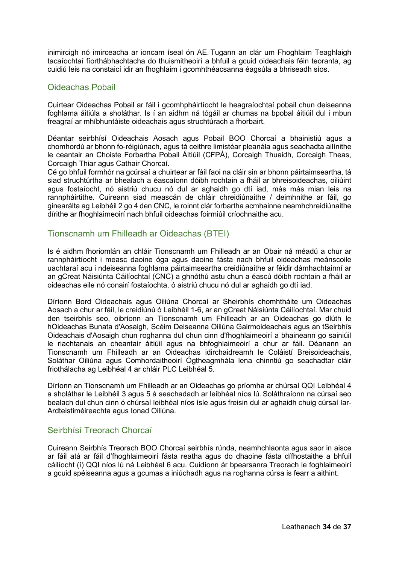inimircigh nó imirceacha ar ioncam íseal ón AE. Tugann an clár um Fhoghlaim Teaghlaigh tacaíochtaí fíorthábhachtacha do thuismitheoirí a bhfuil a gcuid oideachais féin teoranta, ag cuidiú leis na constaicí idir an fhoghlaim i gcomhthéacsanna éagsúla a bhriseadh síos.

## Oideachas Pobail

Cuirtear Oideachas Pobail ar fáil i gcomhpháirtíocht le heagraíochtaí pobail chun deiseanna foghlama áitiúla a sholáthar. Is í an aidhm ná tógáil ar chumas na bpobal áitiúil dul i mbun freagraí ar mhíbhuntáiste oideachais agus struchtúrach a fhorbairt.

Déantar seirbhísí Oideachais Aosach agus Pobail BOO Chorcaí a bhainistiú agus a chomhordú ar bhonn fo-réigiúnach, agus tá ceithre limistéar pleanála agus seachadta ailínithe le ceantair an Choiste Forbartha Pobail Áitiúil (CFPÁ), Corcaigh Thuaidh, Corcaigh Theas, Corcaigh Thiar agus Cathair Chorcaí.

Cé go bhfuil formhór na gcúrsaí a chuirtear ar fáil faoi na cláir sin ar bhonn páirtaimseartha, tá siad struchtúrtha ar bhealach a éascaíonn dóibh rochtain a fháil ar bhreisoideachas, oiliúint agus fostaíocht, nó aistriú chucu nó dul ar aghaidh go dtí iad, más más mian leis na rannpháirtithe. Cuireann siad meascán de chláir chreidiúnaithe / deimhnithe ar fáil, go ginearálta ag Leibhéil 2 go 4 den CNC, le roinnt clár forbartha acmhainne neamhchreidiúnaithe dírithe ar fhoghlaimeoirí nach bhfuil oideachas foirmiúil críochnaithe acu.

### Tionscnamh um Fhilleadh ar Oideachas (BTEI)

Is é aidhm fhoriomlán an chláir Tionscnamh um Fhilleadh ar an Obair ná méadú a chur ar rannpháirtíocht i measc daoine óga agus daoine fásta nach bhfuil oideachas meánscoile uachtaraí acu i ndeiseanna foghlama páirtaimseartha creidiúnaithe ar féidir dámhachtainní ar an gCreat Náisiúnta Cáilíochtaí (CNC) a ghnóthú astu chun a éascú dóibh rochtain a fháil ar oideachas eile nó conairí fostaíochta, ó aistriú chucu nó dul ar aghaidh go dtí iad.

Díríonn Bord Oideachais agus Oiliúna Chorcaí ar Sheirbhís chomhtháite um Oideachas Aosach a chur ar fáil, le creidiúnú ó Leibhéil 1-6, ar an gCreat Náisiúnta Cáilíochtaí. Mar chuid den tseirbhís seo, oibríonn an Tionscnamh um Fhilleadh ar an Oideachas go dlúth le hOideachas Bunata d'Aosaigh, Scéim Deiseanna Oiliúna Gairmoideachais agus an tSeirbhís Oideachais d'Aosaigh chun roghanna dul chun cinn d'fhoghlaimeoirí a bhaineann go sainiúil le riachtanais an cheantair áitiúil agus na bhfoghlaimeoirí a chur ar fáil. Déanann an Tionscnamh um Fhilleadh ar an Oideachas idirchaidreamh le Coláistí Breisoideachais, Soláthar Oiliúna agus Comhordaitheoirí Ógtheagmhála lena chinntiú go seachadtar cláir friothálacha ag Leibhéal 4 ar chláir PLC Leibhéal 5.

Díríonn an Tionscnamh um Fhilleadh ar an Oideachas go príomha ar chúrsaí QQI Leibhéal 4 a sholáthar le Leibhéil 3 agus 5 á seachadadh ar leibhéal níos lú. Soláthraíonn na cúrsaí seo bealach dul chun cinn ó chúrsaí leibhéal níos ísle agus freisin dul ar aghaidh chuig cúrsaí Iar-Ardteistiméireachta agus Ionad Oiliúna. 

## Seirbhísí Treorach Chorcaí

Cuireann Seirbhís Treorach BOO Chorcaí seirbhís rúnda, neamhchlaonta agus saor in aisce ar fáil atá ar fáil d'fhoghlaimeoirí fásta reatha agus do dhaoine fásta dífhostaithe a bhfuil cáilíocht (í) QQI níos lú ná Leibhéal 6 acu. Cuidíonn ár bpearsanra Treorach le foghlaimeoirí a gcuid spéiseanna agus a gcumas a iniúchadh agus na roghanna cúrsa is fearr a aithint.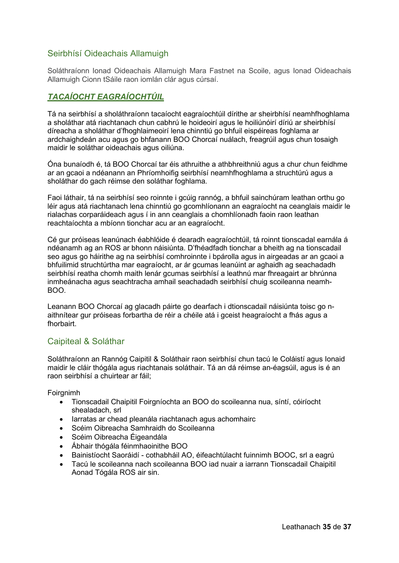## Seirbhísí Oideachais Allamuigh

Soláthraíonn Ionad Oideachais Allamuigh Mara Fastnet na Scoile, agus Ionad Oideachais Allamuigh Cionn tSáile raon iomlán clár agus cúrsaí.

## *TACAÍOCHT EAGRAÍOCHTÚIL*

Tá na seirbhísí a sholáthraíonn tacaíocht eagraíochtúil dírithe ar sheirbhísí neamhfhoghlama a sholáthar atá riachtanach chun cabhrú le hoideoirí agus le hoiliúnóirí díriú ar sheirbhísí díreacha a sholáthar d'fhoghlaimeoirí lena chinntiú go bhfuil eispéireas foghlama ar ardchaighdeán acu agus go bhfanann BOO Chorcaí nuálach, freagrúil agus chun tosaigh maidir le soláthar oideachais agus oiliúna.

Óna bunaíodh é, tá BOO Chorcaí tar éis athruithe a athbhreithniú agus a chur chun feidhme ar an gcaoi a ndéanann an Phríomhoifig seirbhísí neamhfhoghlama a struchtúrú agus a sholáthar do gach réimse den soláthar foghlama.

Faoi láthair, tá na seirbhísí seo roinnte i gcúig rannóg, a bhfuil sainchúram leathan orthu go léir agus atá riachtanach lena chinntiú go gcomhlíonann an eagraíocht na ceanglais maidir le rialachas corparáideach agus í in ann ceanglais a chomhlíonadh faoin raon leathan reachtaíochta a mbíonn tionchar acu ar an eagraíocht.

Cé gur próiseas leanúnach éabhlóide é dearadh eagraíochtúil, tá roinnt tionscadal earnála á ndéanamh ag an ROS ar bhonn náisiúnta. D'fhéadfadh tionchar a bheith ag na tionscadail seo agus go háirithe ag na seirbhísí comhroinnte i bpárolla agus in airgeadas ar an gcaoi a bhfuilimid struchtúrtha mar eagraíocht, ar ár gcumas leanúint ar aghaidh ag seachadadh seirbhísí reatha chomh maith lenár gcumas seirbhísí a leathnú mar fhreagairt ar bhrúnna inmheánacha agus seachtracha amhail seachadadh seirbhísí chuig scoileanna neamh-BOO.

Leanann BOO Chorcaí ag glacadh páirte go dearfach i dtionscadail náisiúnta toisc go naithnítear gur próiseas forbartha de réir a chéile atá i gceist heagraíocht a fhás agus a fhorbairt.

## Caipiteal & Soláthar

Soláthraíonn an Rannóg Caipitil & Soláthair raon seirbhísí chun tacú le Coláistí agus Ionaid maidir le cláir thógála agus riachtanais soláthair. Tá an dá réimse an-éagsúil, agus is é an raon seirbhísí a chuirtear ar fáil;

Foirgnimh

- Tionscadail Chaipitil Foirgníochta an BOO do scoileanna nua, síntí, cóiríocht shealadach, srl
- Iarratas ar chead pleanála riachtanach agus achomhairc
- Scéim Oibreacha Samhraidh do Scoileanna
- Scéim Oibreacha Éigeandála
- Ábhair thógála féinmhaoinithe BOO
- Bainistíocht Saoráidí cothabháil AO, éifeachtúlacht fuinnimh BOOC, srl a eagrú
- Tacú le scoileanna nach scoileanna BOO iad nuair a iarrann Tionscadail Chaipitil Aonad Tógála ROS air sin.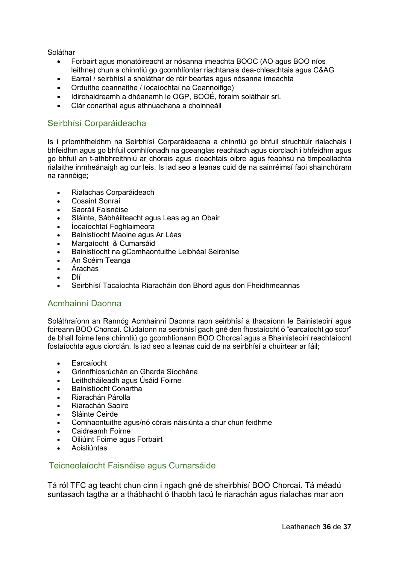Soláthar

- Forbairt agus monatóireacht ar nósanna imeachta BOOC (AO agus BOO níos leithne) chun a chinntiú go gcomhlíontar riachtanais dea-chleachtais agus C&AG
- Earraí / seirbhísí a sholáthar de réir beartas agus nósanna imeachta
- Orduithe ceannaithe / íocaíochtaí na Ceannoifige)
- Idirchaidreamh a dhéanamh le OGP, BOOÉ, fóraim soláthair srl.
- Clár conarthaí agus athnuachana a choinneáil

## Seirbhísí Corparáideacha

Is í príomhfheidhm na Seirbhísí Corparáideacha a chinntiú go bhfuil struchtúir rialachais i bhfeidhm agus go bhfuil comhlíonadh na gceanglas reachtach agus ciorclach i bhfeidhm agus go bhfuil an t-athbhreithniú ar chórais agus cleachtais oibre agus feabhsú na timpeallachta rialaithe inmheánaigh ag cur leis. Is iad seo a leanas cuid de na sainréimsí faoi shainchúram na rannóige;

- Rialachas Corparáideach
- Cosaint Sonraí
- Saoráil Faisnéise
- Sláinte, Sábháilteacht agus Leas ag an Obair
- Íocaíochtaí Foghlaimeora
- Bainistíocht Maoine agus Ar Léas
- Margaíocht & Cumarsáid
- Bainistíocht na gComhaontuithe Leibhéal Seirbhíse
- An Scéim Teanga
- Árachas
- Dlí
- Seirbhísí Tacaíochta Riaracháin don Bhord agus don Fheidhmeannas

#### Acmhainní Daonna

Soláthraíonn an Rannóg Acmhainní Daonna raon seirbhísí a thacaíonn le Bainisteoirí agus foireann BOO Chorcaí. Clúdaíonn na seirbhísí gach gné den fhostaíocht ó "earcaíocht go scor" de bhall foirne lena chinntiú go gcomhlíonann BOO Chorcaí agus a Bhainisteoirí reachtaíocht fostaíochta agus ciorclán. Is iad seo a leanas cuid de na seirbhísí a chuirtear ar fáil;

- Earcaíocht
- Grinnfhiosrúchán an Gharda Síochána
- Leithdháileadh agus Úsáid Foirne
- Bainistíocht Conartha
- Riarachán Párolla
- Riarachán Saoire
- Sláinte Ceirde
- Comhaontuithe agus/nó córais náisiúnta a chur chun feidhme
- Caidreamh Foirne
- Oiliúint Foirne agus Forbairt
- Aoisliúntas

## Teicneolaíocht Faisnéise agus Cumarsáide

Tá ról TFC ag teacht chun cinn i ngach gné de sheirbhísí BOO Chorcaí. Tá méadú suntasach tagtha ar a thábhacht ó thaobh tacú le riarachán agus rialachas mar aon